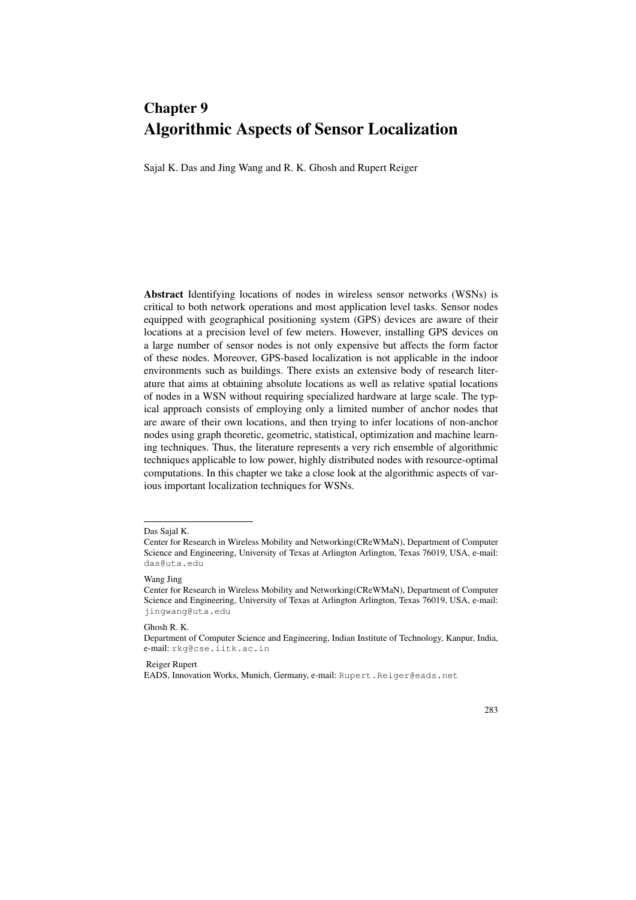Sajal K. Das and Jing Wang and R. K. Ghosh and Rupert Reiger

Abstract Identifying locations of nodes in wireless sensor networks (WSNs) is critical to both network operations and most application level tasks. Sensor nodes equipped with geographical positioning system (GPS) devices are aware of their locations at a precision level of few meters. However, installing GPS devices on a large number of sensor nodes is not only expensive but affects the form factor of these nodes. Moreover, GPS-based localization is not applicable in the indoor environments such as buildings. There exists an extensive body of research literature that aims at obtaining absolute locations as well as relative spatial locations of nodes in a WSN without requiring specialized hardware at large scale. The typical approach consists of employing only a limited number of anchor nodes that are aware of their own locations, and then trying to infer locations of non-anchor nodes using graph theoretic, geometric, statistical, optimization and machine learning techniques. Thus, the literature represents a very rich ensemble of algorithmic techniques applicable to low power, highly distributed nodes with resource-optimal computations. In this chapter we take a close look at the algorithmic aspects of various important localization techniques for WSNs.

#### Ghosh R. K.

#### Reiger Rupert

EADS, Innovation Works, Munich, Germany, e-mail: Rupert.Reiger@eads.net



Das Sajal K.

Center for Research in Wireless Mobility and Networking(CReWMaN), Department of Computer Science and Engineering, University of Texas at Arlington Arlington, Texas 76019, USA, e-mail: das@uta.edu

Wang Jing

Center for Research in Wireless Mobility and Networking(CReWMaN), Department of Computer Science and Engineering, University of Texas at Arlington Arlington, Texas 76019, USA, e-mail: jingwang@uta.edu

Department of Computer Science and Engineering, Indian Institute of Technology, Kanpur, India, e-mail: rkg@cse.iitk.ac.in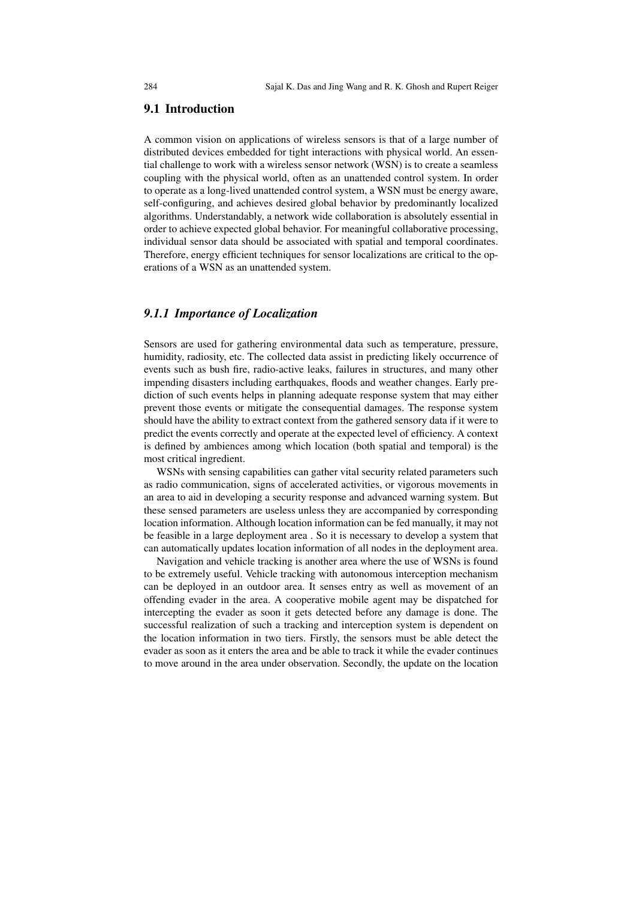# 9.1 Introduction

A common vision on applications of wireless sensors is that of a large number of distributed devices embedded for tight interactions with physical world. An essential challenge to work with a wireless sensor network (WSN) is to create a seamless coupling with the physical world, often as an unattended control system. In order to operate as a long-lived unattended control system, a WSN must be energy aware, self-configuring, and achieves desired global behavior by predominantly localized algorithms. Understandably, a network wide collaboration is absolutely essential in order to achieve expected global behavior. For meaningful collaborative processing, individual sensor data should be associated with spatial and temporal coordinates. Therefore, energy efficient techniques for sensor localizations are critical to the operations of a WSN as an unattended system.

# *9.1.1 Importance of Localization*

Sensors are used for gathering environmental data such as temperature, pressure, humidity, radiosity, etc. The collected data assist in predicting likely occurrence of events such as bush fire, radio-active leaks, failures in structures, and many other impending disasters including earthquakes, floods and weather changes. Early prediction of such events helps in planning adequate response system that may either prevent those events or mitigate the consequential damages. The response system should have the ability to extract context from the gathered sensory data if it were to predict the events correctly and operate at the expected level of efficiency. A context is defined by ambiences among which location (both spatial and temporal) is the most critical ingredient.

WSNs with sensing capabilities can gather vital security related parameters such as radio communication, signs of accelerated activities, or vigorous movements in an area to aid in developing a security response and advanced warning system. But these sensed parameters are useless unless they are accompanied by corresponding location information. Although location information can be fed manually, it may not be feasible in a large deployment area . So it is necessary to develop a system that can automatically updates location information of all nodes in the deployment area.

Navigation and vehicle tracking is another area where the use of WSNs is found to be extremely useful. Vehicle tracking with autonomous interception mechanism can be deployed in an outdoor area. It senses entry as well as movement of an offending evader in the area. A cooperative mobile agent may be dispatched for intercepting the evader as soon it gets detected before any damage is done. The successful realization of such a tracking and interception system is dependent on the location information in two tiers. Firstly, the sensors must be able detect the evader as soon as it enters the area and be able to track it while the evader continues to move around in the area under observation. Secondly, the update on the location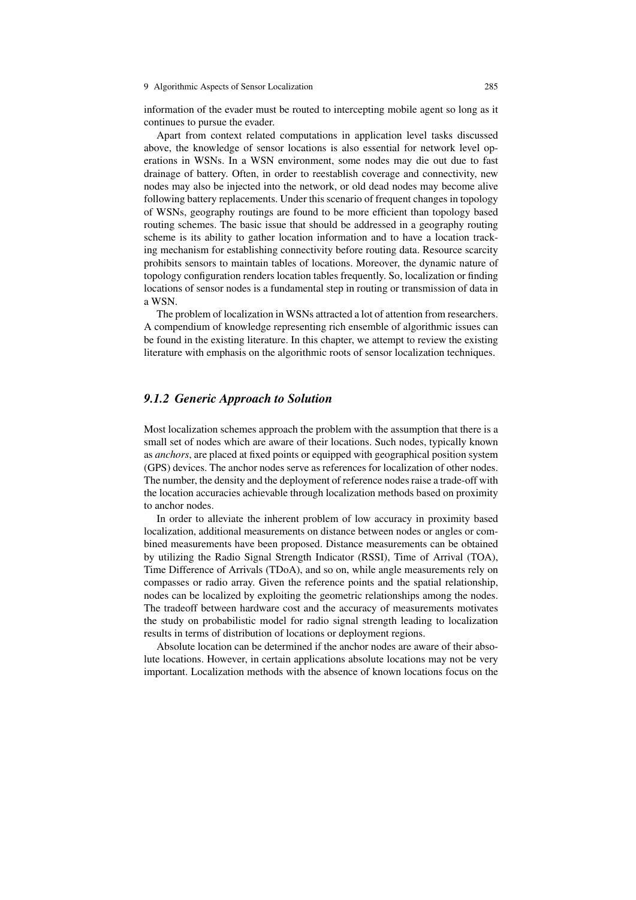information of the evader must be routed to intercepting mobile agent so long as it continues to pursue the evader.

Apart from context related computations in application level tasks discussed above, the knowledge of sensor locations is also essential for network level operations in WSNs. In a WSN environment, some nodes may die out due to fast drainage of battery. Often, in order to reestablish coverage and connectivity, new nodes may also be injected into the network, or old dead nodes may become alive following battery replacements. Under this scenario of frequent changes in topology of WSNs, geography routings are found to be more efficient than topology based routing schemes. The basic issue that should be addressed in a geography routing scheme is its ability to gather location information and to have a location tracking mechanism for establishing connectivity before routing data. Resource scarcity prohibits sensors to maintain tables of locations. Moreover, the dynamic nature of topology configuration renders location tables frequently. So, localization or finding locations of sensor nodes is a fundamental step in routing or transmission of data in a WSN.

The problem of localization in WSNs attracted a lot of attention from researchers. A compendium of knowledge representing rich ensemble of algorithmic issues can be found in the existing literature. In this chapter, we attempt to review the existing literature with emphasis on the algorithmic roots of sensor localization techniques.

#### *9.1.2 Generic Approach to Solution*

Most localization schemes approach the problem with the assumption that there is a small set of nodes which are aware of their locations. Such nodes, typically known as *anchors*, are placed at fixed points or equipped with geographical position system (GPS) devices. The anchor nodes serve as references for localization of other nodes. The number, the density and the deployment of reference nodes raise a trade-off with the location accuracies achievable through localization methods based on proximity to anchor nodes.

In order to alleviate the inherent problem of low accuracy in proximity based localization, additional measurements on distance between nodes or angles or combined measurements have been proposed. Distance measurements can be obtained by utilizing the Radio Signal Strength Indicator (RSSI), Time of Arrival (TOA), Time Difference of Arrivals (TDoA), and so on, while angle measurements rely on compasses or radio array. Given the reference points and the spatial relationship, nodes can be localized by exploiting the geometric relationships among the nodes. The tradeoff between hardware cost and the accuracy of measurements motivates the study on probabilistic model for radio signal strength leading to localization results in terms of distribution of locations or deployment regions.

Absolute location can be determined if the anchor nodes are aware of their absolute locations. However, in certain applications absolute locations may not be very important. Localization methods with the absence of known locations focus on the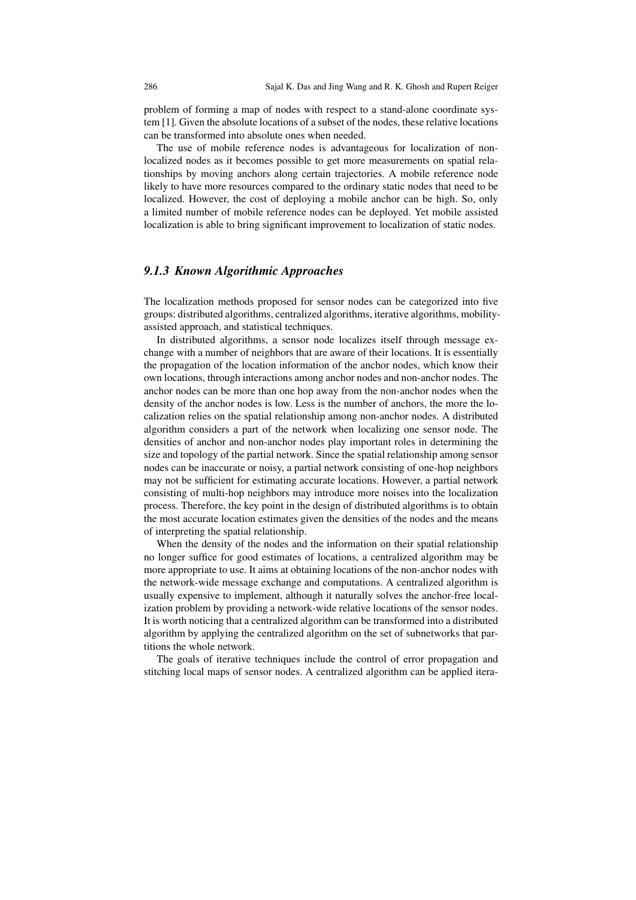problem of forming a map of nodes with respect to a stand-alone coordinate system [1]. Given the absolute locations of a subset of the nodes, these relative locations can be transformed into absolute ones when needed.

The use of mobile reference nodes is advantageous for localization of nonlocalized nodes as it becomes possible to get more measurements on spatial relationships by moving anchors along certain trajectories. A mobile reference node likely to have more resources compared to the ordinary static nodes that need to be localized. However, the cost of deploying a mobile anchor can be high. So, only a limited number of mobile reference nodes can be deployed. Yet mobile assisted localization is able to bring significant improvement to localization of static nodes.

#### *9.1.3 Known Algorithmic Approaches*

The localization methods proposed for sensor nodes can be categorized into five groups: distributed algorithms, centralized algorithms, iterative algorithms, mobilityassisted approach, and statistical techniques.

In distributed algorithms, a sensor node localizes itself through message exchange with a number of neighbors that are aware of their locations. It is essentially the propagation of the location information of the anchor nodes, which know their own locations, through interactions among anchor nodes and non-anchor nodes. The anchor nodes can be more than one hop away from the non-anchor nodes when the density of the anchor nodes is low. Less is the number of anchors, the more the localization relies on the spatial relationship among non-anchor nodes. A distributed algorithm considers a part of the network when localizing one sensor node. The densities of anchor and non-anchor nodes play important roles in determining the size and topology of the partial network. Since the spatial relationship among sensor nodes can be inaccurate or noisy, a partial network consisting of one-hop neighbors may not be sufficient for estimating accurate locations. However, a partial network consisting of multi-hop neighbors may introduce more noises into the localization process. Therefore, the key point in the design of distributed algorithms is to obtain the most accurate location estimates given the densities of the nodes and the means of interpreting the spatial relationship.

When the density of the nodes and the information on their spatial relationship no longer suffice for good estimates of locations, a centralized algorithm may be more appropriate to use. It aims at obtaining locations of the non-anchor nodes with the network-wide message exchange and computations. A centralized algorithm is usually expensive to implement, although it naturally solves the anchor-free localization problem by providing a network-wide relative locations of the sensor nodes. It is worth noticing that a centralized algorithm can be transformed into a distributed algorithm by applying the centralized algorithm on the set of subnetworks that partitions the whole network.

The goals of iterative techniques include the control of error propagation and stitching local maps of sensor nodes. A centralized algorithm can be applied itera-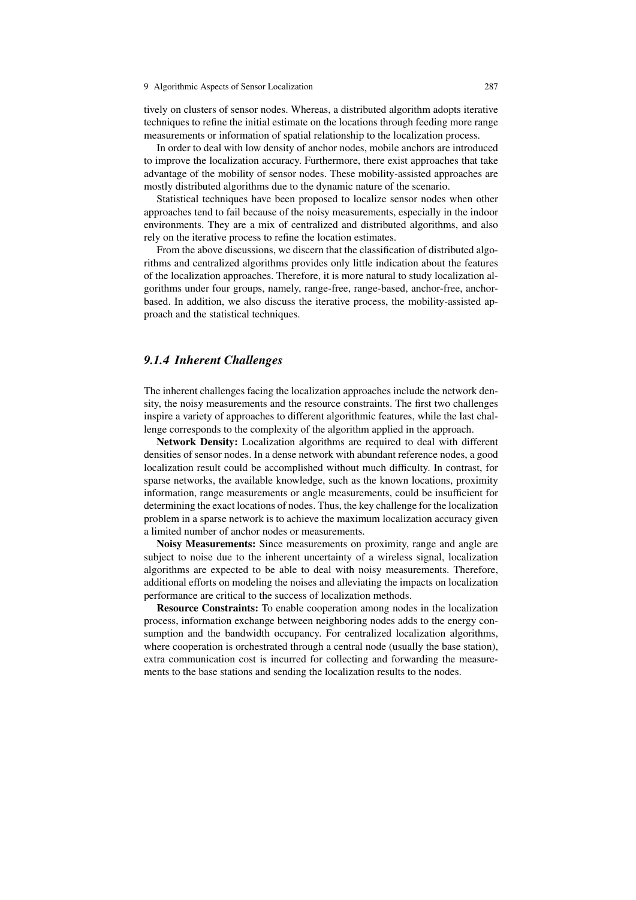tively on clusters of sensor nodes. Whereas, a distributed algorithm adopts iterative techniques to refine the initial estimate on the locations through feeding more range measurements or information of spatial relationship to the localization process.

In order to deal with low density of anchor nodes, mobile anchors are introduced to improve the localization accuracy. Furthermore, there exist approaches that take advantage of the mobility of sensor nodes. These mobility-assisted approaches are mostly distributed algorithms due to the dynamic nature of the scenario.

Statistical techniques have been proposed to localize sensor nodes when other approaches tend to fail because of the noisy measurements, especially in the indoor environments. They are a mix of centralized and distributed algorithms, and also rely on the iterative process to refine the location estimates.

From the above discussions, we discern that the classification of distributed algorithms and centralized algorithms provides only little indication about the features of the localization approaches. Therefore, it is more natural to study localization algorithms under four groups, namely, range-free, range-based, anchor-free, anchorbased. In addition, we also discuss the iterative process, the mobility-assisted approach and the statistical techniques.

# *9.1.4 Inherent Challenges*

The inherent challenges facing the localization approaches include the network density, the noisy measurements and the resource constraints. The first two challenges inspire a variety of approaches to different algorithmic features, while the last challenge corresponds to the complexity of the algorithm applied in the approach.

Network Density: Localization algorithms are required to deal with different densities of sensor nodes. In a dense network with abundant reference nodes, a good localization result could be accomplished without much difficulty. In contrast, for sparse networks, the available knowledge, such as the known locations, proximity information, range measurements or angle measurements, could be insufficient for determining the exact locations of nodes. Thus, the key challenge for the localization problem in a sparse network is to achieve the maximum localization accuracy given a limited number of anchor nodes or measurements.

Noisy Measurements: Since measurements on proximity, range and angle are subject to noise due to the inherent uncertainty of a wireless signal, localization algorithms are expected to be able to deal with noisy measurements. Therefore, additional efforts on modeling the noises and alleviating the impacts on localization performance are critical to the success of localization methods.

Resource Constraints: To enable cooperation among nodes in the localization process, information exchange between neighboring nodes adds to the energy consumption and the bandwidth occupancy. For centralized localization algorithms, where cooperation is orchestrated through a central node (usually the base station), extra communication cost is incurred for collecting and forwarding the measurements to the base stations and sending the localization results to the nodes.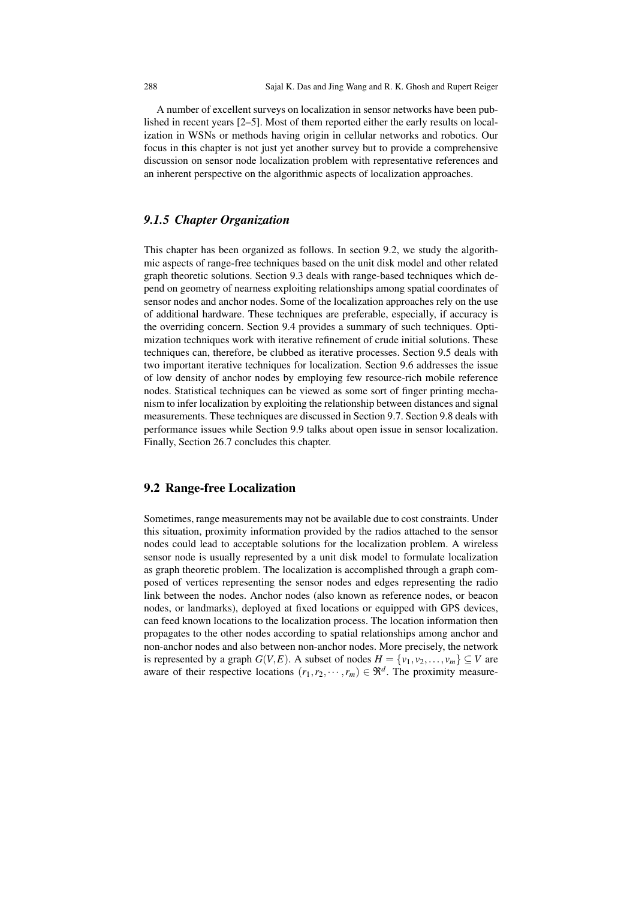A number of excellent surveys on localization in sensor networks have been published in recent years [2–5]. Most of them reported either the early results on localization in WSNs or methods having origin in cellular networks and robotics. Our focus in this chapter is not just yet another survey but to provide a comprehensive discussion on sensor node localization problem with representative references and an inherent perspective on the algorithmic aspects of localization approaches.

# *9.1.5 Chapter Organization*

This chapter has been organized as follows. In section 9.2, we study the algorithmic aspects of range-free techniques based on the unit disk model and other related graph theoretic solutions. Section 9.3 deals with range-based techniques which depend on geometry of nearness exploiting relationships among spatial coordinates of sensor nodes and anchor nodes. Some of the localization approaches rely on the use of additional hardware. These techniques are preferable, especially, if accuracy is the overriding concern. Section 9.4 provides a summary of such techniques. Optimization techniques work with iterative refinement of crude initial solutions. These techniques can, therefore, be clubbed as iterative processes. Section 9.5 deals with two important iterative techniques for localization. Section 9.6 addresses the issue of low density of anchor nodes by employing few resource-rich mobile reference nodes. Statistical techniques can be viewed as some sort of finger printing mechanism to infer localization by exploiting the relationship between distances and signal measurements. These techniques are discussed in Section 9.7. Section 9.8 deals with performance issues while Section 9.9 talks about open issue in sensor localization. Finally, Section 26.7 concludes this chapter.

### 9.2 Range-free Localization

Sometimes, range measurements may not be available due to cost constraints. Under this situation, proximity information provided by the radios attached to the sensor nodes could lead to acceptable solutions for the localization problem. A wireless sensor node is usually represented by a unit disk model to formulate localization as graph theoretic problem. The localization is accomplished through a graph composed of vertices representing the sensor nodes and edges representing the radio link between the nodes. Anchor nodes (also known as reference nodes, or beacon nodes, or landmarks), deployed at fixed locations or equipped with GPS devices, can feed known locations to the localization process. The location information then propagates to the other nodes according to spatial relationships among anchor and non-anchor nodes and also between non-anchor nodes. More precisely, the network is represented by a graph  $G(V, E)$ . A subset of nodes  $H = \{v_1, v_2, \dots, v_m\} \subseteq V$  are aware of their respective locations  $(r_1, r_2, \dots, r_m) \in \Re^d$ . The proximity measure-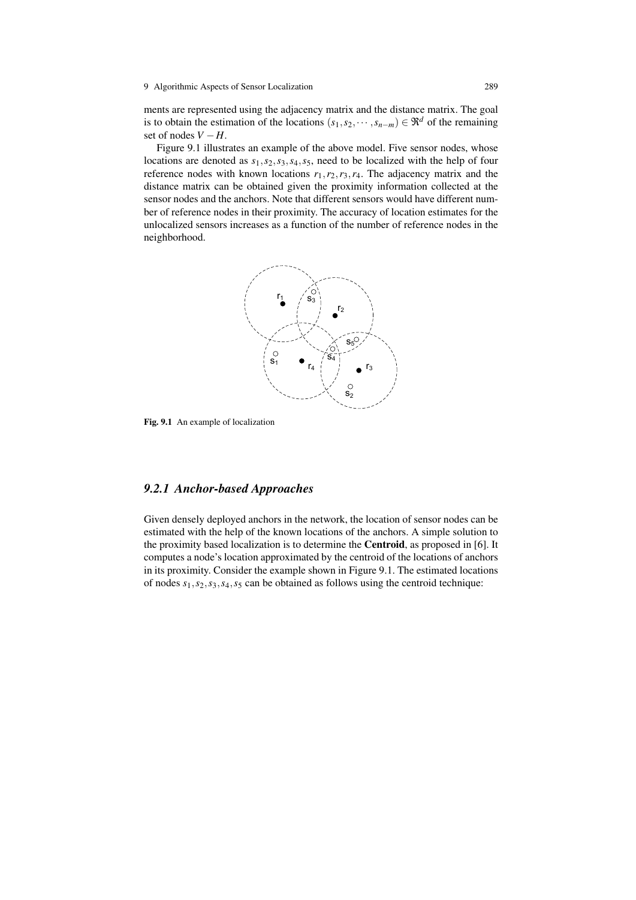ments are represented using the adjacency matrix and the distance matrix. The goal is to obtain the estimation of the locations  $(s_1, s_2, \dots, s_{n-m}) \in \mathbb{R}^d$  of the remaining set of nodes  $V - H$ .

Figure 9.1 illustrates an example of the above model. Five sensor nodes, whose locations are denoted as  $s_1$ ,  $s_2$ ,  $s_3$ ,  $s_4$ ,  $s_5$ , need to be localized with the help of four reference nodes with known locations  $r_1, r_2, r_3, r_4$ . The adjacency matrix and the distance matrix can be obtained given the proximity information collected at the sensor nodes and the anchors. Note that different sensors would have different number of reference nodes in their proximity. The accuracy of location estimates for the unlocalized sensors increases as a function of the number of reference nodes in the neighborhood.



Fig. 9.1 An example of localization

# *9.2.1 Anchor-based Approaches*

Given densely deployed anchors in the network, the location of sensor nodes can be estimated with the help of the known locations of the anchors. A simple solution to the proximity based localization is to determine the Centroid, as proposed in [6]. It computes a node's location approximated by the centroid of the locations of anchors in its proximity. Consider the example shown in Figure 9.1. The estimated locations of nodes *s*1*,s*2*,s*3*,s*4*,s*<sup>5</sup> can be obtained as follows using the centroid technique: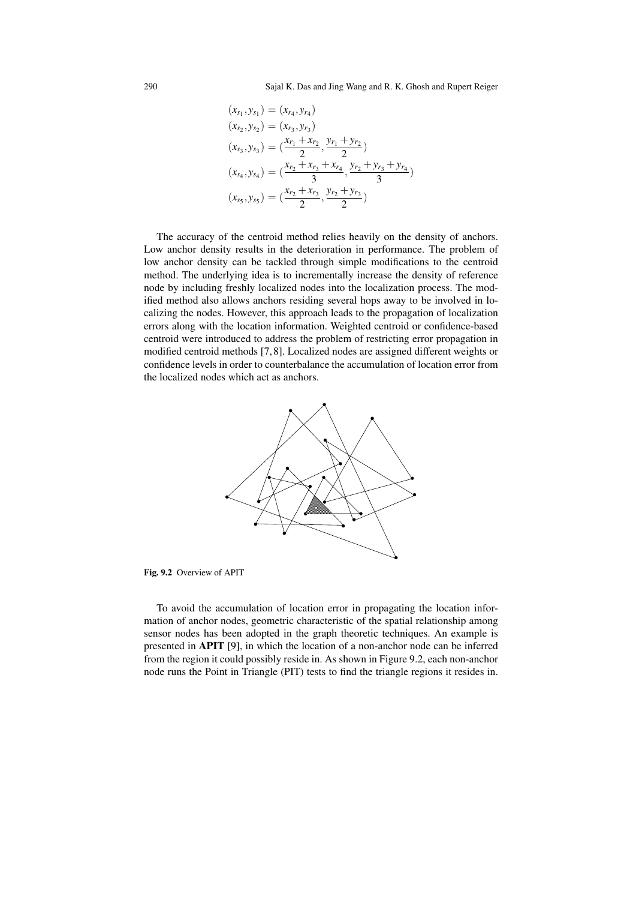$$
(x_{s_1}, y_{s_1}) = (x_{r_4}, y_{r_4})
$$
  
\n
$$
(x_{s_2}, y_{s_2}) = (x_{r_3}, y_{r_3})
$$
  
\n
$$
(x_{s_3}, y_{s_3}) = (\frac{x_{r_1} + x_{r_2}}{2}, \frac{y_{r_1} + y_{r_2}}{2})
$$
  
\n
$$
(x_{s_4}, y_{s_4}) = (\frac{x_{r_2} + x_{r_3} + x_{r_4}}{3}, \frac{y_{r_2} + y_{r_3} + y_{r_4}}{3})
$$
  
\n
$$
(x_{s_5}, y_{s_5}) = (\frac{x_{r_2} + x_{r_3}}{2}, \frac{y_{r_2} + y_{r_3}}{2})
$$

The accuracy of the centroid method relies heavily on the density of anchors. Low anchor density results in the deterioration in performance. The problem of low anchor density can be tackled through simple modifications to the centroid method. The underlying idea is to incrementally increase the density of reference node by including freshly localized nodes into the localization process. The modified method also allows anchors residing several hops away to be involved in localizing the nodes. However, this approach leads to the propagation of localization errors along with the location information. Weighted centroid or confidence-based centroid were introduced to address the problem of restricting error propagation in modified centroid methods [7, 8]. Localized nodes are assigned different weights or confidence levels in order to counterbalance the accumulation of location error from the localized nodes which act as anchors.



Fig. 9.2 Overview of APIT

To avoid the accumulation of location error in propagating the location information of anchor nodes, geometric characteristic of the spatial relationship among sensor nodes has been adopted in the graph theoretic techniques. An example is presented in APIT [9], in which the location of a non-anchor node can be inferred from the region it could possibly reside in. As shown in Figure 9.2, each non-anchor node runs the Point in Triangle (PIT) tests to find the triangle regions it resides in.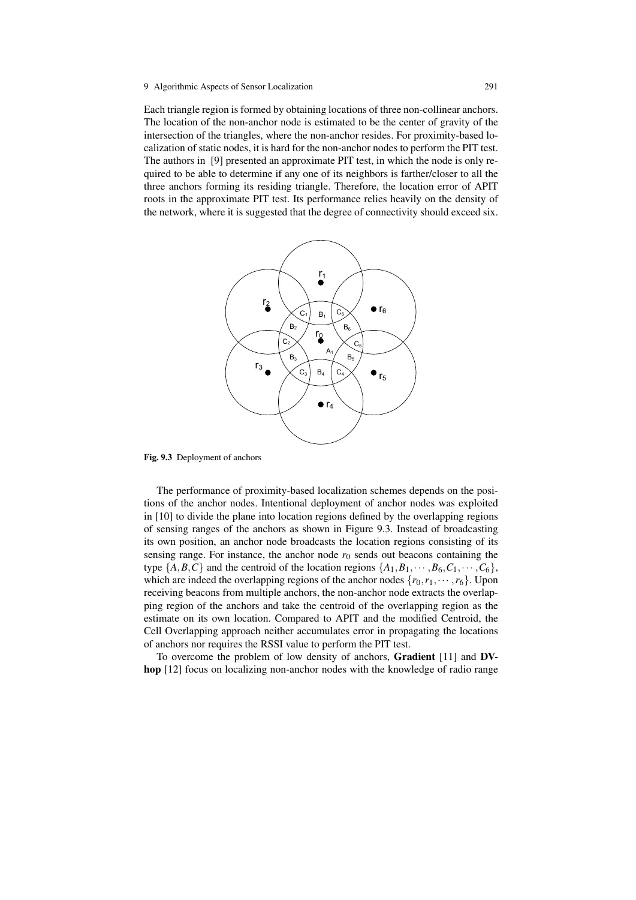Each triangle region is formed by obtaining locations of three non-collinear anchors. The location of the non-anchor node is estimated to be the center of gravity of the intersection of the triangles, where the non-anchor resides. For proximity-based localization of static nodes, it is hard for the non-anchor nodes to perform the PIT test. The authors in [9] presented an approximate PIT test, in which the node is only required to be able to determine if any one of its neighbors is farther/closer to all the three anchors forming its residing triangle. Therefore, the location error of APIT roots in the approximate PIT test. Its performance relies heavily on the density of the network, where it is suggested that the degree of connectivity should exceed six.



Fig. 9.3 Deployment of anchors

The performance of proximity-based localization schemes depends on the positions of the anchor nodes. Intentional deployment of anchor nodes was exploited in [10] to divide the plane into location regions defined by the overlapping regions of sensing ranges of the anchors as shown in Figure 9.3. Instead of broadcasting its own position, an anchor node broadcasts the location regions consisting of its sensing range. For instance, the anchor node  $r_0$  sends out beacons containing the type  $\{A, B, C\}$  and the centroid of the location regions  $\{A_1, B_1, \cdots, B_6, C_1, \cdots, C_6\}$ , which are indeed the overlapping regions of the anchor nodes  $\{r_0, r_1, \dots, r_6\}$ . Upon receiving beacons from multiple anchors, the non-anchor node extracts the overlapping region of the anchors and take the centroid of the overlapping region as the estimate on its own location. Compared to APIT and the modified Centroid, the Cell Overlapping approach neither accumulates error in propagating the locations of anchors nor requires the RSSI value to perform the PIT test.

To overcome the problem of low density of anchors, Gradient [11] and DVhop [12] focus on localizing non-anchor nodes with the knowledge of radio range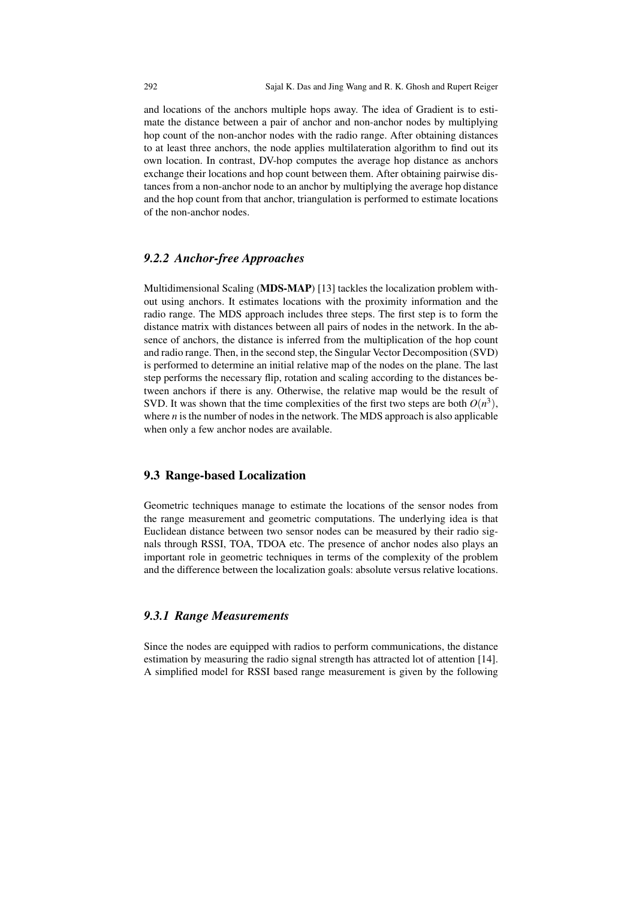and locations of the anchors multiple hops away. The idea of Gradient is to estimate the distance between a pair of anchor and non-anchor nodes by multiplying hop count of the non-anchor nodes with the radio range. After obtaining distances to at least three anchors, the node applies multilateration algorithm to find out its own location. In contrast, DV-hop computes the average hop distance as anchors exchange their locations and hop count between them. After obtaining pairwise distances from a non-anchor node to an anchor by multiplying the average hop distance and the hop count from that anchor, triangulation is performed to estimate locations of the non-anchor nodes.

#### *9.2.2 Anchor-free Approaches*

Multidimensional Scaling (MDS-MAP) [13] tackles the localization problem without using anchors. It estimates locations with the proximity information and the radio range. The MDS approach includes three steps. The first step is to form the distance matrix with distances between all pairs of nodes in the network. In the absence of anchors, the distance is inferred from the multiplication of the hop count and radio range. Then, in the second step, the Singular Vector Decomposition (SVD) is performed to determine an initial relative map of the nodes on the plane. The last step performs the necessary flip, rotation and scaling according to the distances between anchors if there is any. Otherwise, the relative map would be the result of SVD. It was shown that the time complexities of the first two steps are both  $O(n^3)$ , where *n* is the number of nodes in the network. The MDS approach is also applicable when only a few anchor nodes are available.

# 9.3 Range-based Localization

Geometric techniques manage to estimate the locations of the sensor nodes from the range measurement and geometric computations. The underlying idea is that Euclidean distance between two sensor nodes can be measured by their radio signals through RSSI, TOA, TDOA etc. The presence of anchor nodes also plays an important role in geometric techniques in terms of the complexity of the problem and the difference between the localization goals: absolute versus relative locations.

### *9.3.1 Range Measurements*

Since the nodes are equipped with radios to perform communications, the distance estimation by measuring the radio signal strength has attracted lot of attention [14]. A simplified model for RSSI based range measurement is given by the following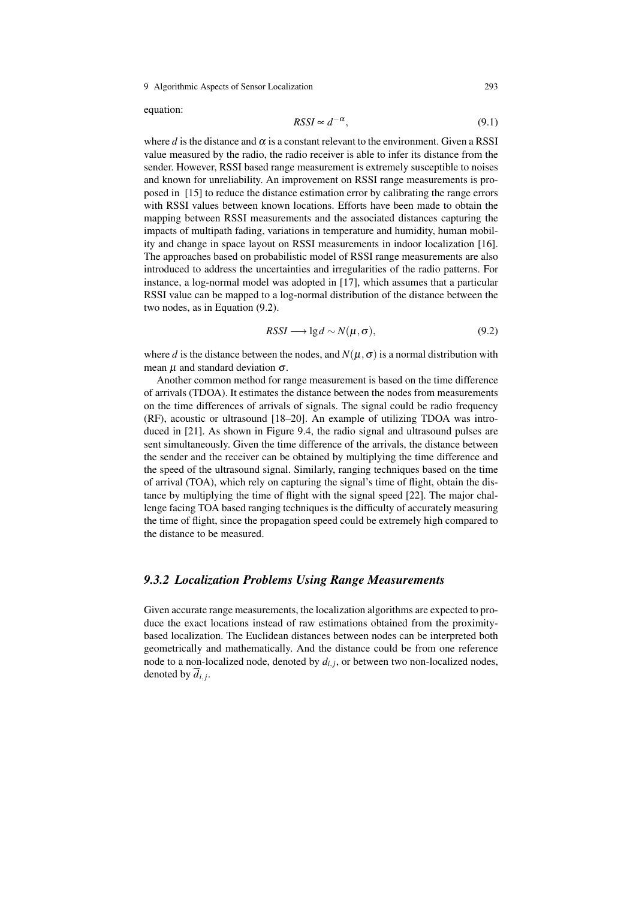equation:

$$
RSSI \propto d^{-\alpha},\tag{9.1}
$$

where *d* is the distance and  $\alpha$  is a constant relevant to the environment. Given a RSSI value measured by the radio, the radio receiver is able to infer its distance from the sender. However, RSSI based range measurement is extremely susceptible to noises and known for unreliability. An improvement on RSSI range measurements is proposed in [15] to reduce the distance estimation error by calibrating the range errors with RSSI values between known locations. Efforts have been made to obtain the mapping between RSSI measurements and the associated distances capturing the impacts of multipath fading, variations in temperature and humidity, human mobility and change in space layout on RSSI measurements in indoor localization [16]. The approaches based on probabilistic model of RSSI range measurements are also introduced to address the uncertainties and irregularities of the radio patterns. For instance, a log-normal model was adopted in [17], which assumes that a particular RSSI value can be mapped to a log-normal distribution of the distance between the two nodes, as in Equation (9.2).

$$
RSSI \longrightarrow \lg d \sim N(\mu, \sigma), \tag{9.2}
$$

where *d* is the distance between the nodes, and  $N(\mu, \sigma)$  is a normal distribution with mean  $\mu$  and standard deviation  $\sigma$ .

Another common method for range measurement is based on the time difference of arrivals (TDOA). It estimates the distance between the nodes from measurements on the time differences of arrivals of signals. The signal could be radio frequency (RF), acoustic or ultrasound [18–20]. An example of utilizing TDOA was introduced in [21]. As shown in Figure 9.4, the radio signal and ultrasound pulses are sent simultaneously. Given the time difference of the arrivals, the distance between the sender and the receiver can be obtained by multiplying the time difference and the speed of the ultrasound signal. Similarly, ranging techniques based on the time of arrival (TOA), which rely on capturing the signal's time of flight, obtain the distance by multiplying the time of flight with the signal speed [22]. The major challenge facing TOA based ranging techniques is the difficulty of accurately measuring the time of flight, since the propagation speed could be extremely high compared to the distance to be measured.

#### *9.3.2 Localization Problems Using Range Measurements*

Given accurate range measurements, the localization algorithms are expected to produce the exact locations instead of raw estimations obtained from the proximitybased localization. The Euclidean distances between nodes can be interpreted both geometrically and mathematically. And the distance could be from one reference node to a non-localized node, denoted by *di, <sup>j</sup>* , or between two non-localized nodes, denoted by  $d_{i,j}$ .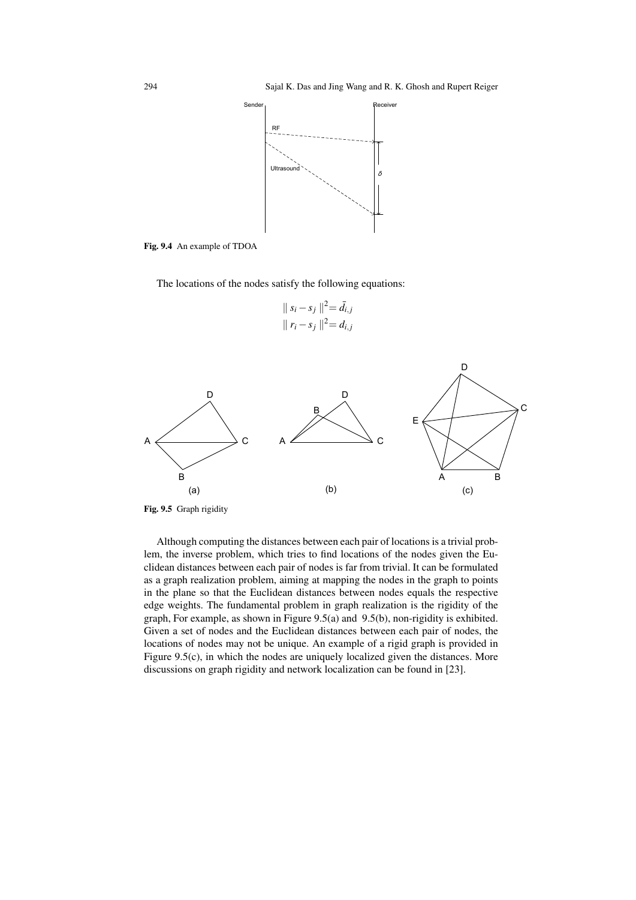

Fig. 9.4 An example of TDOA

The locations of the nodes satisfy the following equations:

$$
\| s_i - s_j \|^2 = \bar{d}_{i,j}
$$
  

$$
\| r_i - s_j \|^2 = d_{i,j}
$$



Fig. 9.5 Graph rigidity

Although computing the distances between each pair of locations is a trivial problem, the inverse problem, which tries to find locations of the nodes given the Euclidean distances between each pair of nodes is far from trivial. It can be formulated as a graph realization problem, aiming at mapping the nodes in the graph to points in the plane so that the Euclidean distances between nodes equals the respective edge weights. The fundamental problem in graph realization is the rigidity of the graph, For example, as shown in Figure 9.5(a) and 9.5(b), non-rigidity is exhibited. Given a set of nodes and the Euclidean distances between each pair of nodes, the locations of nodes may not be unique. An example of a rigid graph is provided in Figure 9.5(c), in which the nodes are uniquely localized given the distances. More discussions on graph rigidity and network localization can be found in [23].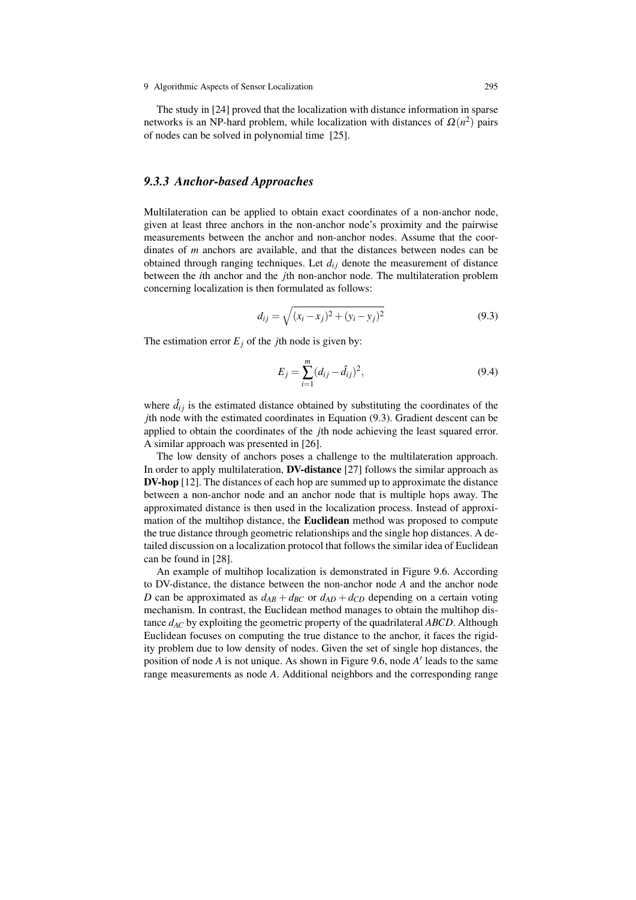The study in [24] proved that the localization with distance information in sparse networks is an NP-hard problem, while localization with distances of  $\Omega(n^2)$  pairs of nodes can be solved in polynomial time [25].

#### *9.3.3 Anchor-based Approaches*

Multilateration can be applied to obtain exact coordinates of a non-anchor node, given at least three anchors in the non-anchor node's proximity and the pairwise measurements between the anchor and non-anchor nodes. Assume that the coordinates of *m* anchors are available, and that the distances between nodes can be obtained through ranging techniques. Let  $d_{ij}$  denote the measurement of distance between the *i*th anchor and the *j*th non-anchor node. The multilateration problem concerning localization is then formulated as follows:

$$
d_{ij} = \sqrt{(x_i - x_j)^2 + (y_i - y_j)^2}
$$
\n(9.3)

The estimation error  $E_i$  of the *j*th node is given by:

$$
E_j = \sum_{i=1}^{m} (d_{ij} - \hat{d}_{ij})^2,
$$
\n(9.4)

where  $\hat{d}_{ij}$  is the estimated distance obtained by substituting the coordinates of the *j*th node with the estimated coordinates in Equation (9.3). Gradient descent can be applied to obtain the coordinates of the *j*th node achieving the least squared error. A similar approach was presented in [26].

The low density of anchors poses a challenge to the multilateration approach. In order to apply multilateration, **DV-distance** [27] follows the similar approach as DV-hop [12]. The distances of each hop are summed up to approximate the distance between a non-anchor node and an anchor node that is multiple hops away. The approximated distance is then used in the localization process. Instead of approximation of the multihop distance, the **Euclidean** method was proposed to compute the true distance through geometric relationships and the single hop distances. A detailed discussion on a localization protocol that follows the similar idea of Euclidean can be found in [28].

An example of multihop localization is demonstrated in Figure 9.6. According to DV-distance, the distance between the non-anchor node *A* and the anchor node *D* can be approximated as  $d_{AB} + d_{BC}$  or  $d_{AD} + d_{CD}$  depending on a certain voting mechanism. In contrast, the Euclidean method manages to obtain the multihop distance *dAC* by exploiting the geometric property of the quadrilateral *ABCD*. Although Euclidean focuses on computing the true distance to the anchor, it faces the rigidity problem due to low density of nodes. Given the set of single hop distances, the position of node *A* is not unique. As shown in Figure 9.6, node *A ′* leads to the same range measurements as node *A*. Additional neighbors and the corresponding range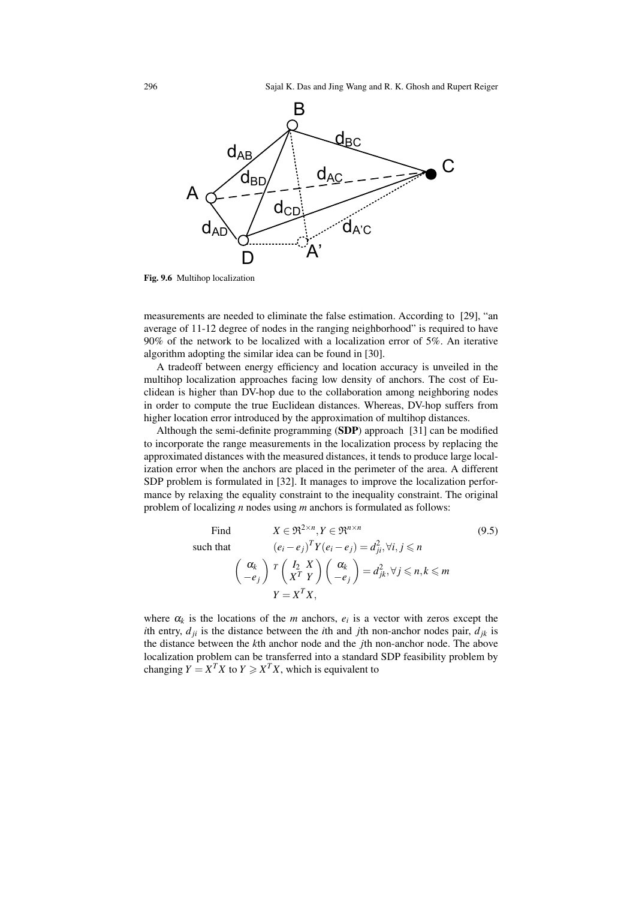

Fig. 9.6 Multihop localization

measurements are needed to eliminate the false estimation. According to [29], "an average of 11-12 degree of nodes in the ranging neighborhood" is required to have 90% of the network to be localized with a localization error of 5%. An iterative algorithm adopting the similar idea can be found in [30].

A tradeoff between energy efficiency and location accuracy is unveiled in the multihop localization approaches facing low density of anchors. The cost of Euclidean is higher than DV-hop due to the collaboration among neighboring nodes in order to compute the true Euclidean distances. Whereas, DV-hop suffers from higher location error introduced by the approximation of multihop distances.

Although the semi-definite programming (SDP) approach [31] can be modified to incorporate the range measurements in the localization process by replacing the approximated distances with the measured distances, it tends to produce large localization error when the anchors are placed in the perimeter of the area. A different SDP problem is formulated in [32]. It manages to improve the localization performance by relaxing the equality constraint to the inequality constraint. The original problem of localizing *n* nodes using *m* anchors is formulated as follows:

Find 
$$
X \in \mathfrak{R}^{2 \times n}, Y \in \mathfrak{R}^{n \times n}
$$
 (9.5)  
such that 
$$
(e_i - e_j)^T Y(e_i - e_j) = d_{ji}^2, \forall i, j \le n
$$

$$
\begin{pmatrix} \alpha_k \\ -e_j \end{pmatrix}^T \begin{pmatrix} I_2 & X \\ X^T & Y \end{pmatrix} \begin{pmatrix} \alpha_k \\ -e_j \end{pmatrix} = d_{jk}^2, \forall j \le n, k \le m
$$

$$
Y = X^T X,
$$

where  $\alpha_k$  is the locations of the *m* anchors,  $e_i$  is a vector with zeros except the *i*th entry,  $d_{ji}$  is the distance between the *i*th and *j*th non-anchor nodes pair,  $d_{jk}$  is the distance between the *k*th anchor node and the *j*th non-anchor node. The above localization problem can be transferred into a standard SDP feasibility problem by changing  $Y = X^T X$  to  $Y \ge X^T X$ , which is equivalent to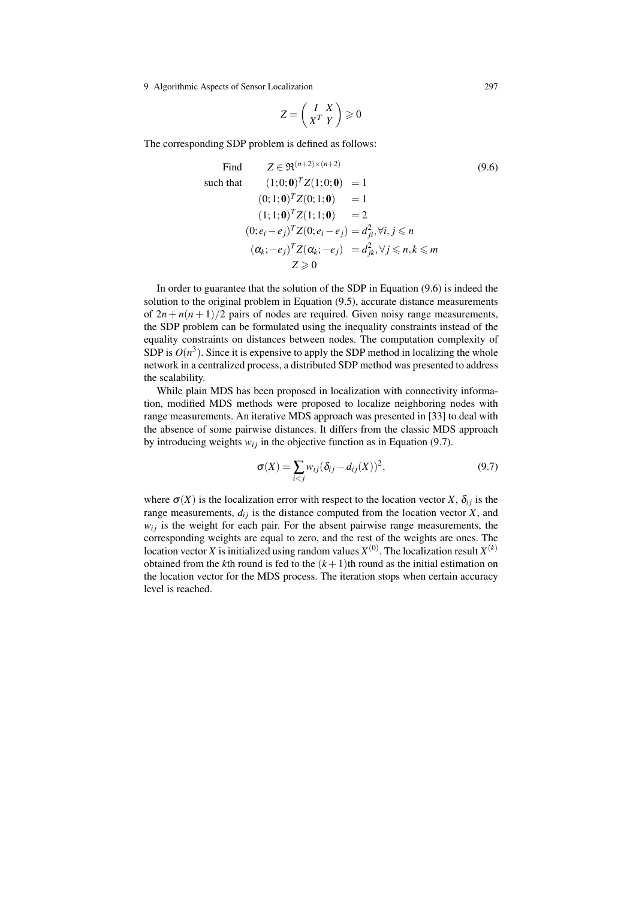$$
Z = \begin{pmatrix} I & X \\ X^T & Y \end{pmatrix} \geqslant 0
$$

The corresponding SDP problem is defined as follows:

Find 
$$
Z \in \mathfrak{R}^{(n+2)\times(n+2)}
$$
 (9.6)  
\nsuch that  $(1;0;0)^T Z(1;0;0) = 1$   
\n $(0;1;0)^T Z(0;1;0) = 1$   
\n $(1;1;0)^T Z(1;1;0) = 2$   
\n $(0; e_i - e_j)^T Z(0; e_i - e_j) = d_{ji}^2, \forall i, j \le n$   
\n $(\alpha_k; -e_j)^T Z(\alpha_k; -e_j) = d_{jk}^2, \forall j \le n, k \le m$   
\n $Z \ge 0$ 

In order to guarantee that the solution of the SDP in Equation (9.6) is indeed the solution to the original problem in Equation (9.5), accurate distance measurements of  $2n + n(n+1)/2$  pairs of nodes are required. Given noisy range measurements, the SDP problem can be formulated using the inequality constraints instead of the equality constraints on distances between nodes. The computation complexity of SDP is  $O(n^3)$ . Since it is expensive to apply the SDP method in localizing the whole network in a centralized process, a distributed SDP method was presented to address the scalability.

While plain MDS has been proposed in localization with connectivity information, modified MDS methods were proposed to localize neighboring nodes with range measurements. An iterative MDS approach was presented in [33] to deal with the absence of some pairwise distances. It differs from the classic MDS approach by introducing weights  $w_{ij}$  in the objective function as in Equation (9.7).

$$
\sigma(X) = \sum_{i < j} w_{ij} (\delta_{ij} - d_{ij}(X))^2,\tag{9.7}
$$

where  $\sigma(X)$  is the localization error with respect to the location vector *X*,  $\delta_{ij}$  is the range measurements,  $d_{ij}$  is the distance computed from the location vector  $X$ , and  $w_{ij}$  is the weight for each pair. For the absent pairwise range measurements, the corresponding weights are equal to zero, and the rest of the weights are ones. The location vector *X* is initialized using random values  $X^{(0)}$ . The localization result  $X^{(k)}$ obtained from the *k*th round is fed to the  $(k+1)$ th round as the initial estimation on the location vector for the MDS process. The iteration stops when certain accuracy level is reached.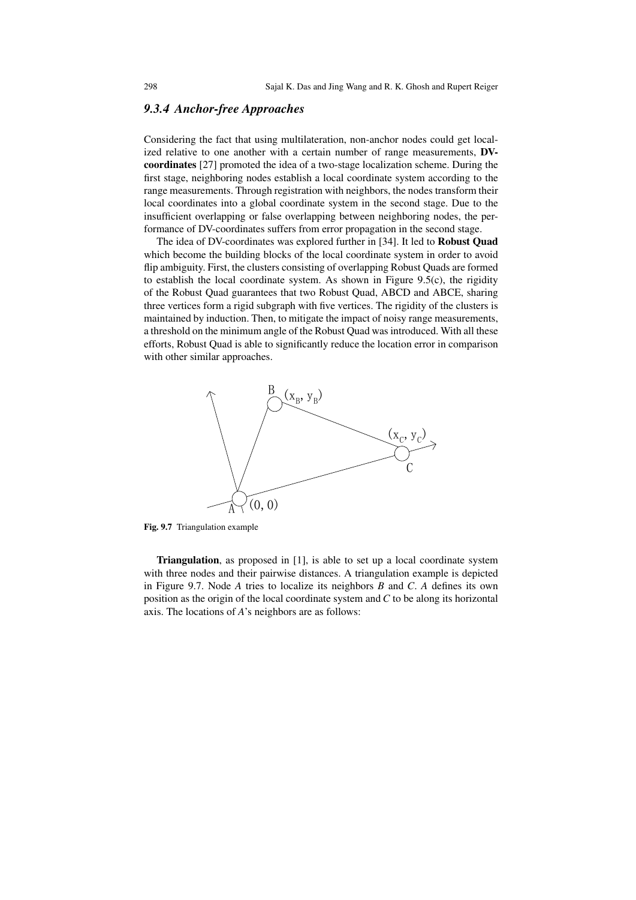### *9.3.4 Anchor-free Approaches*

Considering the fact that using multilateration, non-anchor nodes could get localized relative to one another with a certain number of range measurements, DVcoordinates [27] promoted the idea of a two-stage localization scheme. During the first stage, neighboring nodes establish a local coordinate system according to the range measurements. Through registration with neighbors, the nodes transform their local coordinates into a global coordinate system in the second stage. Due to the insufficient overlapping or false overlapping between neighboring nodes, the performance of DV-coordinates suffers from error propagation in the second stage.

The idea of DV-coordinates was explored further in [34]. It led to Robust Quad which become the building blocks of the local coordinate system in order to avoid flip ambiguity. First, the clusters consisting of overlapping Robust Quads are formed to establish the local coordinate system. As shown in Figure 9.5(c), the rigidity of the Robust Quad guarantees that two Robust Quad, ABCD and ABCE, sharing three vertices form a rigid subgraph with five vertices. The rigidity of the clusters is maintained by induction. Then, to mitigate the impact of noisy range measurements, a threshold on the minimum angle of the Robust Quad was introduced. With all these efforts, Robust Quad is able to significantly reduce the location error in comparison with other similar approaches.



Fig. 9.7 Triangulation example

Triangulation, as proposed in [1], is able to set up a local coordinate system with three nodes and their pairwise distances. A triangulation example is depicted in Figure 9.7. Node *A* tries to localize its neighbors *B* and *C*. *A* defines its own position as the origin of the local coordinate system and *C* to be along its horizontal axis. The locations of *A*'s neighbors are as follows: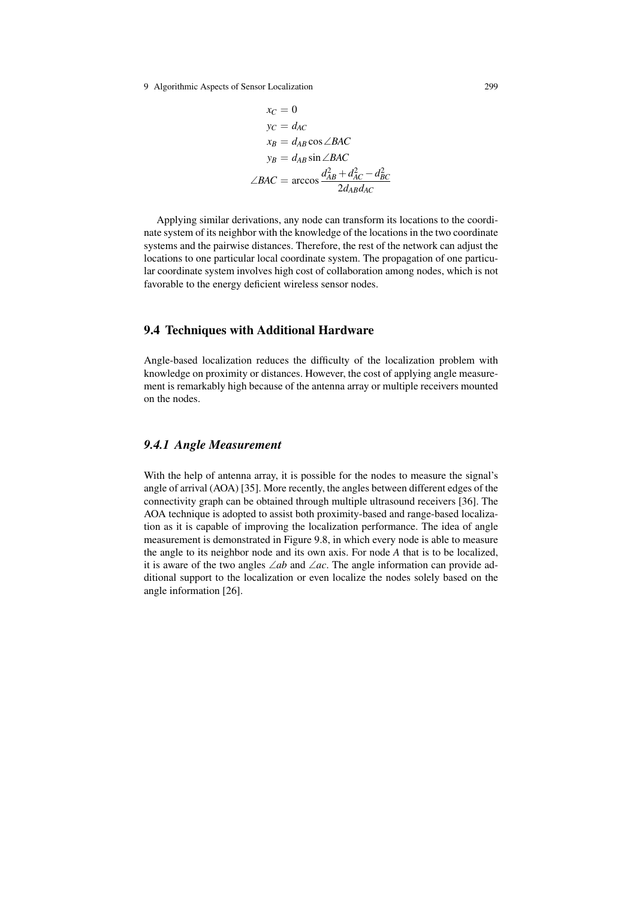$$
x_C = 0
$$
  
\n
$$
y_C = d_{AC}
$$
  
\n
$$
x_B = d_{AB} \cos \angle BAC
$$
  
\n
$$
y_B = d_{AB} \sin \angle BAC
$$
  
\n
$$
\angle BAC = \arccos \frac{d_{AB}^2 + d_{AC}^2 - d_{BC}^2}{2d_{AB}d_{AC}}
$$

Applying similar derivations, any node can transform its locations to the coordinate system of its neighbor with the knowledge of the locations in the two coordinate systems and the pairwise distances. Therefore, the rest of the network can adjust the locations to one particular local coordinate system. The propagation of one particular coordinate system involves high cost of collaboration among nodes, which is not favorable to the energy deficient wireless sensor nodes.

#### 9.4 Techniques with Additional Hardware

Angle-based localization reduces the difficulty of the localization problem with knowledge on proximity or distances. However, the cost of applying angle measurement is remarkably high because of the antenna array or multiple receivers mounted on the nodes.

# *9.4.1 Angle Measurement*

With the help of antenna array, it is possible for the nodes to measure the signal's angle of arrival (AOA) [35]. More recently, the angles between different edges of the connectivity graph can be obtained through multiple ultrasound receivers [36]. The AOA technique is adopted to assist both proximity-based and range-based localization as it is capable of improving the localization performance. The idea of angle measurement is demonstrated in Figure 9.8, in which every node is able to measure the angle to its neighbor node and its own axis. For node *A* that is to be localized, it is aware of the two angles ∠*ab* and ∠*ac*. The angle information can provide additional support to the localization or even localize the nodes solely based on the angle information [26].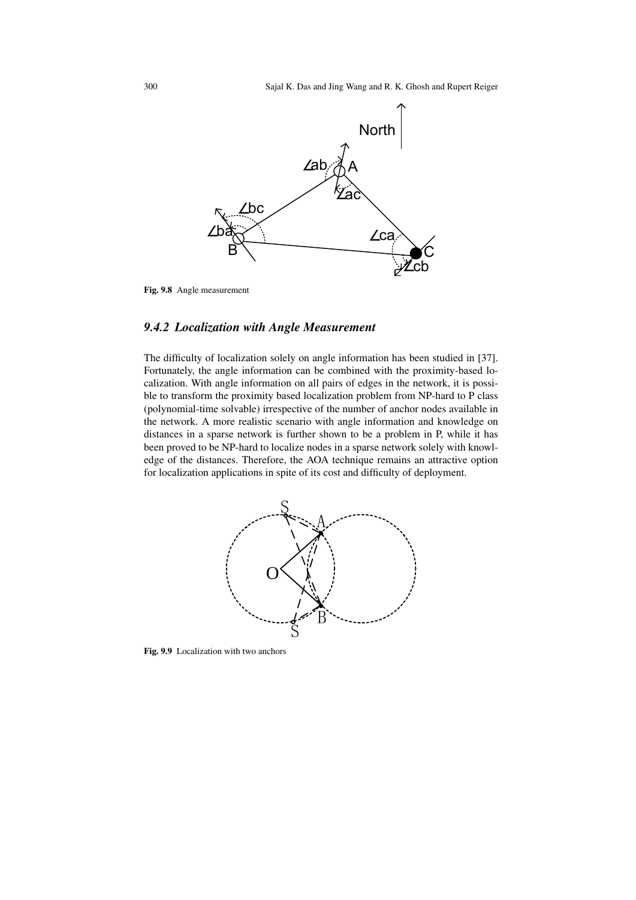

Fig. 9.8 Angle measurement

### *9.4.2 Localization with Angle Measurement*

The difficulty of localization solely on angle information has been studied in [37]. Fortunately, the angle information can be combined with the proximity-based localization. With angle information on all pairs of edges in the network, it is possible to transform the proximity based localization problem from NP-hard to P class (polynomial-time solvable) irrespective of the number of anchor nodes available in the network. A more realistic scenario with angle information and knowledge on distances in a sparse network is further shown to be a problem in P, while it has been proved to be NP-hard to localize nodes in a sparse network solely with knowledge of the distances. Therefore, the AOA technique remains an attractive option for localization applications in spite of its cost and difficulty of deployment.



Fig. 9.9 Localization with two anchors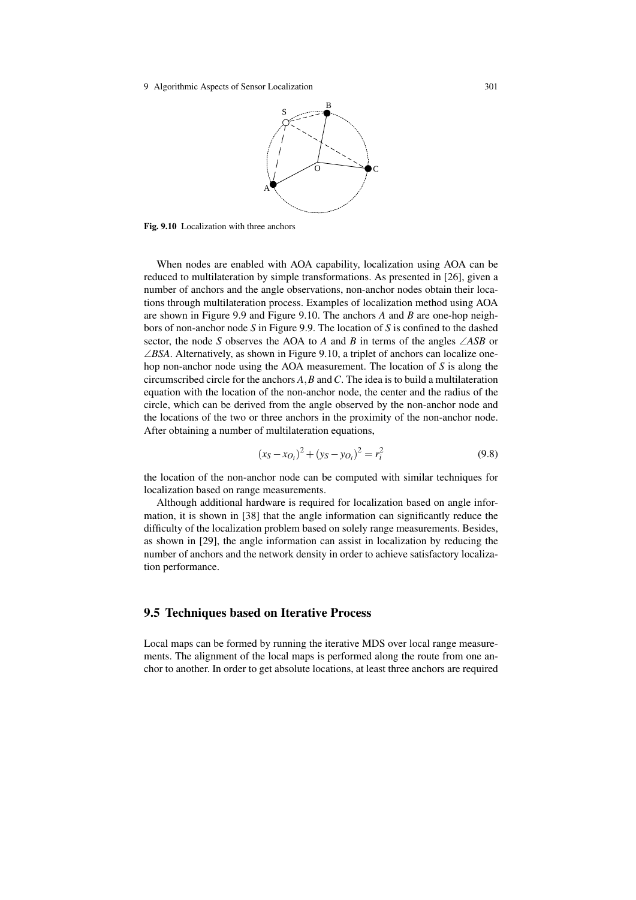

Fig. 9.10 Localization with three anchors

When nodes are enabled with AOA capability, localization using AOA can be reduced to multilateration by simple transformations. As presented in [26], given a number of anchors and the angle observations, non-anchor nodes obtain their locations through multilateration process. Examples of localization method using AOA are shown in Figure 9.9 and Figure 9.10. The anchors *A* and *B* are one-hop neighbors of non-anchor node *S* in Figure 9.9. The location of *S* is confined to the dashed sector, the node *S* observes the AOA to *A* and *B* in terms of the angles ∠*ASB* or ∠*BSA*. Alternatively, as shown in Figure 9.10, a triplet of anchors can localize onehop non-anchor node using the AOA measurement. The location of *S* is along the circumscribed circle for the anchors *A,B* and*C*. The idea is to build a multilateration equation with the location of the non-anchor node, the center and the radius of the circle, which can be derived from the angle observed by the non-anchor node and the locations of the two or three anchors in the proximity of the non-anchor node. After obtaining a number of multilateration equations,

$$
(x_S - x_{O_i})^2 + (y_S - y_{O_i})^2 = r_i^2
$$
\n(9.8)

the location of the non-anchor node can be computed with similar techniques for localization based on range measurements.

Although additional hardware is required for localization based on angle information, it is shown in [38] that the angle information can significantly reduce the difficulty of the localization problem based on solely range measurements. Besides, as shown in [29], the angle information can assist in localization by reducing the number of anchors and the network density in order to achieve satisfactory localization performance.

# 9.5 Techniques based on Iterative Process

Local maps can be formed by running the iterative MDS over local range measurements. The alignment of the local maps is performed along the route from one anchor to another. In order to get absolute locations, at least three anchors are required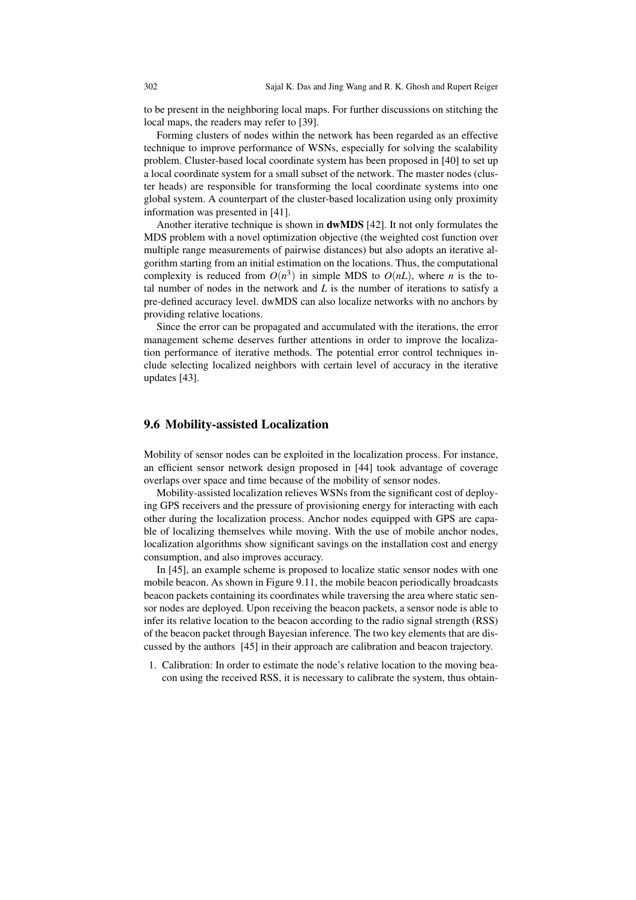to be present in the neighboring local maps. For further discussions on stitching the local maps, the readers may refer to [39].

Forming clusters of nodes within the network has been regarded as an effective technique to improve performance of WSNs, especially for solving the scalability problem. Cluster-based local coordinate system has been proposed in [40] to set up a local coordinate system for a small subset of the network. The master nodes (cluster heads) are responsible for transforming the local coordinate systems into one global system. A counterpart of the cluster-based localization using only proximity information was presented in [41].

Another iterative technique is shown in dwMDS [42]. It not only formulates the MDS problem with a novel optimization objective (the weighted cost function over multiple range measurements of pairwise distances) but also adopts an iterative algorithm starting from an initial estimation on the locations. Thus, the computational complexity is reduced from  $O(n^3)$  in simple MDS to  $O(nL)$ , where *n* is the total number of nodes in the network and *L* is the number of iterations to satisfy a pre-defined accuracy level. dwMDS can also localize networks with no anchors by providing relative locations.

Since the error can be propagated and accumulated with the iterations, the error management scheme deserves further attentions in order to improve the localization performance of iterative methods. The potential error control techniques include selecting localized neighbors with certain level of accuracy in the iterative updates [43].

#### 9.6 Mobility-assisted Localization

Mobility of sensor nodes can be exploited in the localization process. For instance, an efficient sensor network design proposed in [44] took advantage of coverage overlaps over space and time because of the mobility of sensor nodes.

Mobility-assisted localization relieves WSNs from the significant cost of deploying GPS receivers and the pressure of provisioning energy for interacting with each other during the localization process. Anchor nodes equipped with GPS are capable of localizing themselves while moving. With the use of mobile anchor nodes, localization algorithms show significant savings on the installation cost and energy consumption, and also improves accuracy.

In [45], an example scheme is proposed to localize static sensor nodes with one mobile beacon. As shown in Figure 9.11, the mobile beacon periodically broadcasts beacon packets containing its coordinates while traversing the area where static sensor nodes are deployed. Upon receiving the beacon packets, a sensor node is able to infer its relative location to the beacon according to the radio signal strength (RSS) of the beacon packet through Bayesian inference. The two key elements that are discussed by the authors [45] in their approach are calibration and beacon trajectory.

1. Calibration: In order to estimate the node's relative location to the moving beacon using the received RSS, it is necessary to calibrate the system, thus obtain-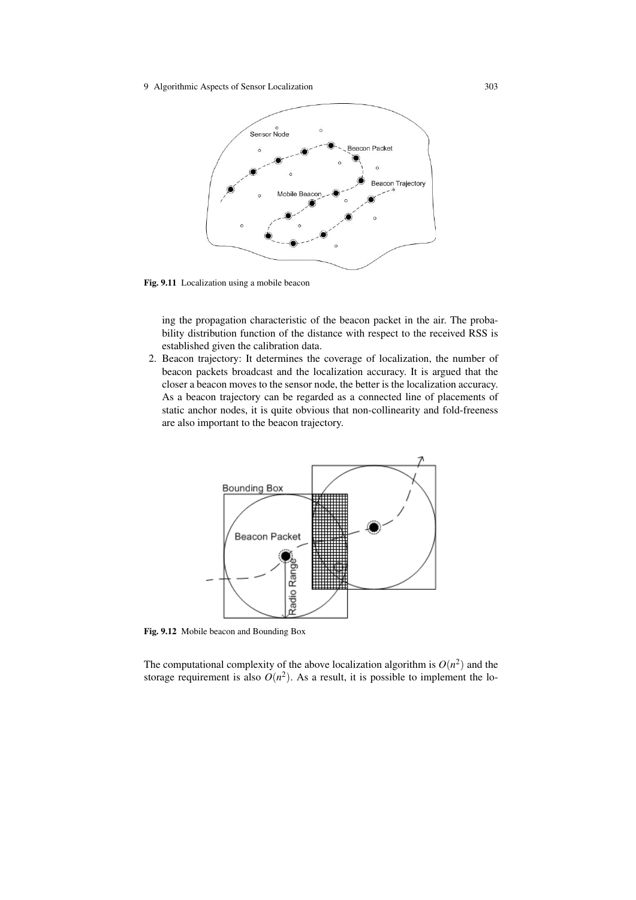

Fig. 9.11 Localization using a mobile beacon

ing the propagation characteristic of the beacon packet in the air. The probability distribution function of the distance with respect to the received RSS is established given the calibration data.

2. Beacon trajectory: It determines the coverage of localization, the number of beacon packets broadcast and the localization accuracy. It is argued that the closer a beacon moves to the sensor node, the better is the localization accuracy. As a beacon trajectory can be regarded as a connected line of placements of static anchor nodes, it is quite obvious that non-collinearity and fold-freeness are also important to the beacon trajectory.



Fig. 9.12 Mobile beacon and Bounding Box

The computational complexity of the above localization algorithm is  $O(n^2)$  and the storage requirement is also  $O(n^2)$ . As a result, it is possible to implement the lo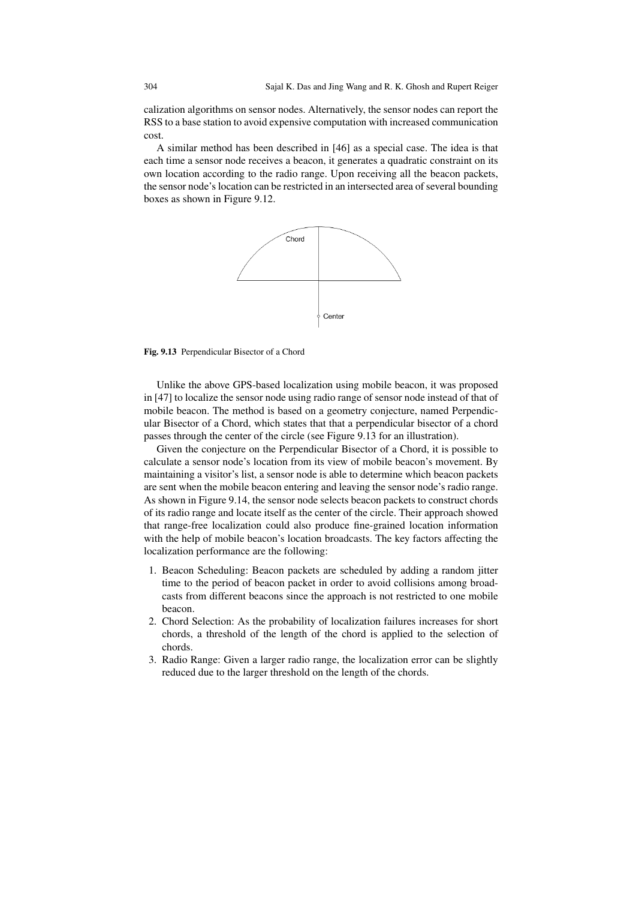calization algorithms on sensor nodes. Alternatively, the sensor nodes can report the RSS to a base station to avoid expensive computation with increased communication cost.

A similar method has been described in [46] as a special case. The idea is that each time a sensor node receives a beacon, it generates a quadratic constraint on its own location according to the radio range. Upon receiving all the beacon packets, the sensor node's location can be restricted in an intersected area of several bounding boxes as shown in Figure 9.12.



Fig. 9.13 Perpendicular Bisector of a Chord

Unlike the above GPS-based localization using mobile beacon, it was proposed in [47] to localize the sensor node using radio range of sensor node instead of that of mobile beacon. The method is based on a geometry conjecture, named Perpendicular Bisector of a Chord, which states that that a perpendicular bisector of a chord passes through the center of the circle (see Figure 9.13 for an illustration).

Given the conjecture on the Perpendicular Bisector of a Chord, it is possible to calculate a sensor node's location from its view of mobile beacon's movement. By maintaining a visitor's list, a sensor node is able to determine which beacon packets are sent when the mobile beacon entering and leaving the sensor node's radio range. As shown in Figure 9.14, the sensor node selects beacon packets to construct chords of its radio range and locate itself as the center of the circle. Their approach showed that range-free localization could also produce fine-grained location information with the help of mobile beacon's location broadcasts. The key factors affecting the localization performance are the following:

- 1. Beacon Scheduling: Beacon packets are scheduled by adding a random jitter time to the period of beacon packet in order to avoid collisions among broadcasts from different beacons since the approach is not restricted to one mobile beacon.
- 2. Chord Selection: As the probability of localization failures increases for short chords, a threshold of the length of the chord is applied to the selection of chords.
- 3. Radio Range: Given a larger radio range, the localization error can be slightly reduced due to the larger threshold on the length of the chords.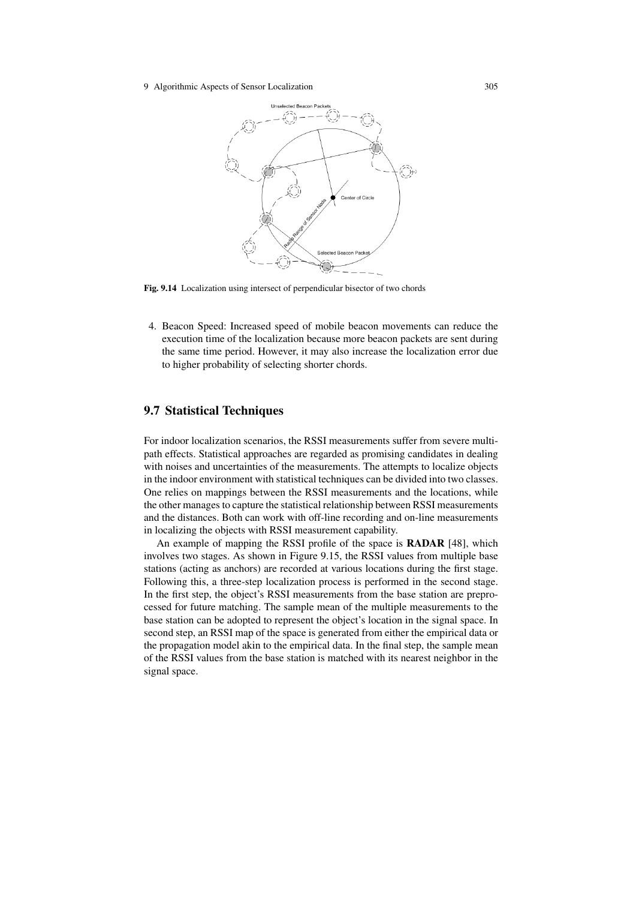

Fig. 9.14 Localization using intersect of perpendicular bisector of two chords

4. Beacon Speed: Increased speed of mobile beacon movements can reduce the execution time of the localization because more beacon packets are sent during the same time period. However, it may also increase the localization error due to higher probability of selecting shorter chords.

# 9.7 Statistical Techniques

For indoor localization scenarios, the RSSI measurements suffer from severe multipath effects. Statistical approaches are regarded as promising candidates in dealing with noises and uncertainties of the measurements. The attempts to localize objects in the indoor environment with statistical techniques can be divided into two classes. One relies on mappings between the RSSI measurements and the locations, while the other manages to capture the statistical relationship between RSSI measurements and the distances. Both can work with off-line recording and on-line measurements in localizing the objects with RSSI measurement capability.

An example of mapping the RSSI profile of the space is RADAR [48], which involves two stages. As shown in Figure 9.15, the RSSI values from multiple base stations (acting as anchors) are recorded at various locations during the first stage. Following this, a three-step localization process is performed in the second stage. In the first step, the object's RSSI measurements from the base station are preprocessed for future matching. The sample mean of the multiple measurements to the base station can be adopted to represent the object's location in the signal space. In second step, an RSSI map of the space is generated from either the empirical data or the propagation model akin to the empirical data. In the final step, the sample mean of the RSSI values from the base station is matched with its nearest neighbor in the signal space.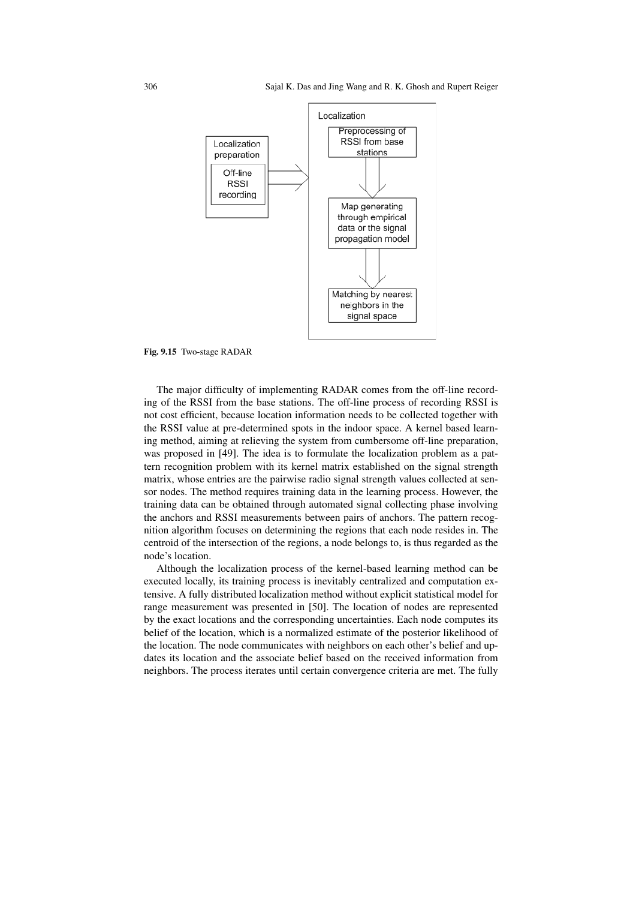

Fig. 9.15 Two-stage RADAR

The major difficulty of implementing RADAR comes from the off-line recording of the RSSI from the base stations. The off-line process of recording RSSI is not cost efficient, because location information needs to be collected together with the RSSI value at pre-determined spots in the indoor space. A kernel based learning method, aiming at relieving the system from cumbersome off-line preparation, was proposed in [49]. The idea is to formulate the localization problem as a pattern recognition problem with its kernel matrix established on the signal strength matrix, whose entries are the pairwise radio signal strength values collected at sensor nodes. The method requires training data in the learning process. However, the training data can be obtained through automated signal collecting phase involving the anchors and RSSI measurements between pairs of anchors. The pattern recognition algorithm focuses on determining the regions that each node resides in. The centroid of the intersection of the regions, a node belongs to, is thus regarded as the node's location.

Although the localization process of the kernel-based learning method can be executed locally, its training process is inevitably centralized and computation extensive. A fully distributed localization method without explicit statistical model for range measurement was presented in [50]. The location of nodes are represented by the exact locations and the corresponding uncertainties. Each node computes its belief of the location, which is a normalized estimate of the posterior likelihood of the location. The node communicates with neighbors on each other's belief and updates its location and the associate belief based on the received information from neighbors. The process iterates until certain convergence criteria are met. The fully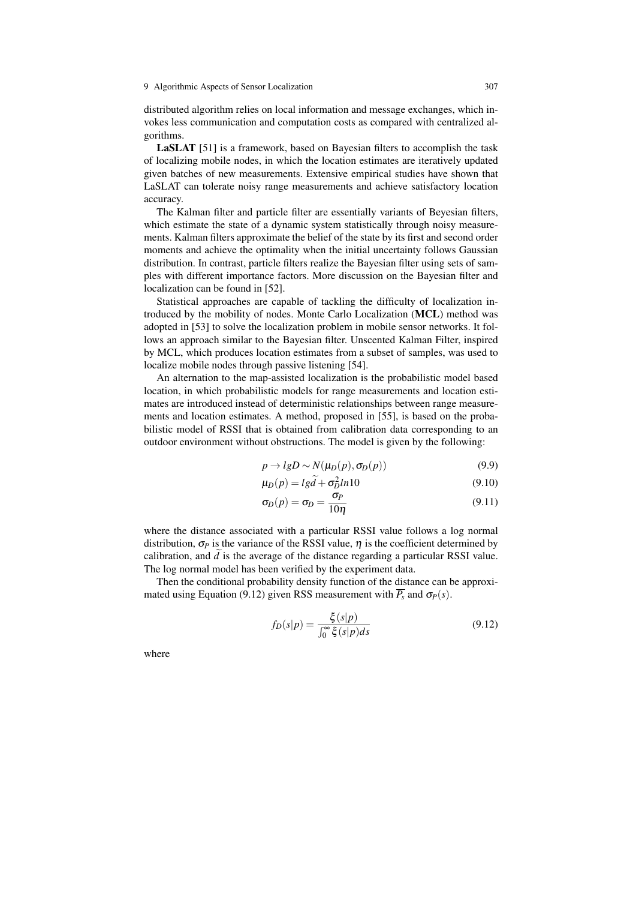distributed algorithm relies on local information and message exchanges, which invokes less communication and computation costs as compared with centralized algorithms.

LaSLAT [51] is a framework, based on Bayesian filters to accomplish the task of localizing mobile nodes, in which the location estimates are iteratively updated given batches of new measurements. Extensive empirical studies have shown that LaSLAT can tolerate noisy range measurements and achieve satisfactory location accuracy.

The Kalman filter and particle filter are essentially variants of Beyesian filters, which estimate the state of a dynamic system statistically through noisy measurements. Kalman filters approximate the belief of the state by its first and second order moments and achieve the optimality when the initial uncertainty follows Gaussian distribution. In contrast, particle filters realize the Bayesian filter using sets of samples with different importance factors. More discussion on the Bayesian filter and localization can be found in [52].

Statistical approaches are capable of tackling the difficulty of localization introduced by the mobility of nodes. Monte Carlo Localization (MCL) method was adopted in [53] to solve the localization problem in mobile sensor networks. It follows an approach similar to the Bayesian filter. Unscented Kalman Filter, inspired by MCL, which produces location estimates from a subset of samples, was used to localize mobile nodes through passive listening [54].

An alternation to the map-assisted localization is the probabilistic model based location, in which probabilistic models for range measurements and location estimates are introduced instead of deterministic relationships between range measurements and location estimates. A method, proposed in [55], is based on the probabilistic model of RSSI that is obtained from calibration data corresponding to an outdoor environment without obstructions. The model is given by the following:

$$
p \to l g D \sim N(\mu_D(p), \sigma_D(p)) \tag{9.9}
$$

$$
\mu_D(p) = l g \tilde{d} + \sigma_D^2 l n 10 \tag{9.10}
$$

$$
\sigma_D(p) = \sigma_D = \frac{\sigma_P}{10\eta} \tag{9.11}
$$

where the distance associated with a particular RSSI value follows a log normal distribution,  $\sigma_P$  is the variance of the RSSI value, *n* is the coefficient determined by calibration, and  $\tilde{d}$  is the average of the distance regarding a particular RSSI value. The log normal model has been verified by the experiment data.

Then the conditional probability density function of the distance can be approximated using Equation (9.12) given RSS measurement with  $\overline{P_s}$  and  $\sigma_P(s)$ .

$$
f_D(s|p) = \frac{\xi(s|p)}{\int_0^\infty \xi(s|p)ds}
$$
\n(9.12)

where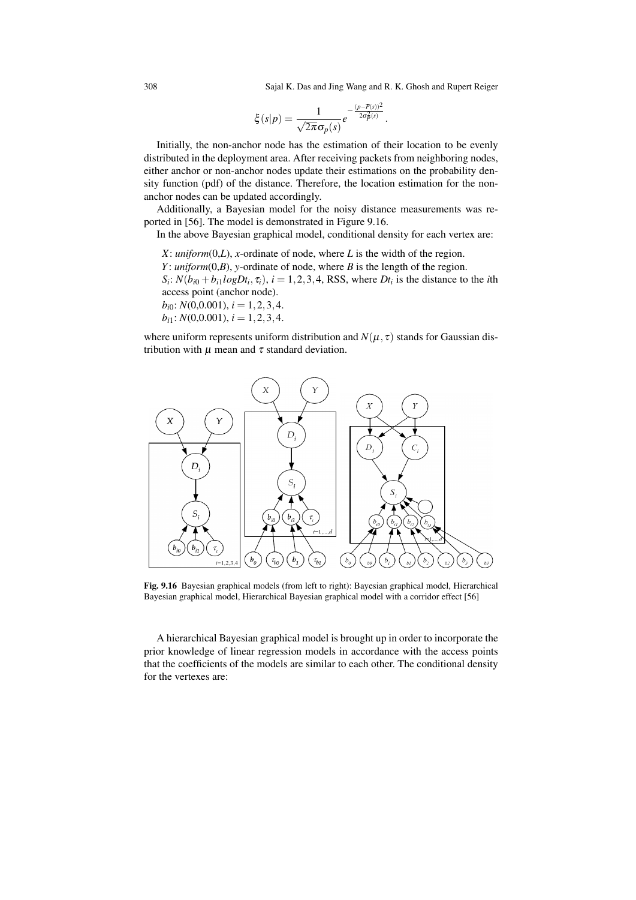308 Sajal K. Das and Jing Wang and R. K. Ghosh and Rupert Reiger

$$
\xi(s|p) = \frac{1}{\sqrt{2\pi}\sigma_p(s)}e^{-\frac{(p-\overline{P}(s))^2}{2\sigma_p^2(s)}}.
$$

Initially, the non-anchor node has the estimation of their location to be evenly distributed in the deployment area. After receiving packets from neighboring nodes, either anchor or non-anchor nodes update their estimations on the probability density function (pdf) of the distance. Therefore, the location estimation for the nonanchor nodes can be updated accordingly.

Additionally, a Bayesian model for the noisy distance measurements was reported in [56]. The model is demonstrated in Figure 9.16.

In the above Bayesian graphical model, conditional density for each vertex are:

*X*: *uniform*(0,*L*), *x*-ordinate of node, where *L* is the width of the region.

*Y*: *uniform*(0,*B*), *y*-ordinate of node, where *B* is the length of the region.

 $S_i$ :  $N(b_{i0} + b_{i1}logDt_i, \tau_i)$ ,  $i = 1, 2, 3, 4$ , RSS, where  $Dt_i$  is the distance to the *i*th access point (anchor node).

 $b_{i0}$ :  $N(0,0.001)$ ,  $i = 1, 2, 3, 4$ .

 $b_{i1}$ :  $N(0,0.001)$ ,  $i = 1,2,3,4$ .

where uniform represents uniform distribution and  $N(\mu, \tau)$  stands for Gaussian distribution with  $\mu$  mean and  $\tau$  standard deviation.



Fig. 9.16 Bayesian graphical models (from left to right): Bayesian graphical model, Hierarchical Bayesian graphical model, Hierarchical Bayesian graphical model with a corridor effect [56]

A hierarchical Bayesian graphical model is brought up in order to incorporate the prior knowledge of linear regression models in accordance with the access points that the coefficients of the models are similar to each other. The conditional density for the vertexes are: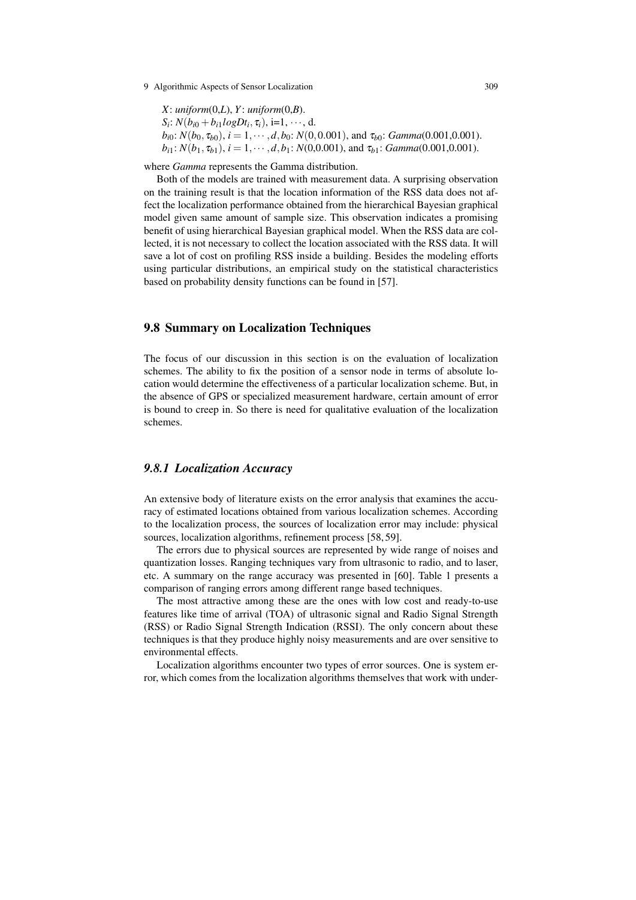*X*: *uniform*(0,*L*), *Y*: *uniform*(0,*B*).  $S_i$ :  $N(b_{i0} + b_{i1} logDt_i, \tau_i)$ , i=1,  $\cdots$ , d.  $b_{i0}$ :  $N(b_0, \tau_{b0})$ ,  $i = 1, \dots, d, b_0$ :  $N(0, 0.001)$ , and  $\tau_{b0}$ : *Gamma*(0.001,0.001).  $b_{i1}$ :  $N(b_1, \tau_{b1})$ ,  $i = 1, \dots, d, b_1$ :  $N(0, 0.001)$ , and  $\tau_{b1}$ : *Gamma*(0.001,0.001).

where *Gamma* represents the Gamma distribution.

Both of the models are trained with measurement data. A surprising observation on the training result is that the location information of the RSS data does not affect the localization performance obtained from the hierarchical Bayesian graphical model given same amount of sample size. This observation indicates a promising benefit of using hierarchical Bayesian graphical model. When the RSS data are collected, it is not necessary to collect the location associated with the RSS data. It will save a lot of cost on profiling RSS inside a building. Besides the modeling efforts using particular distributions, an empirical study on the statistical characteristics based on probability density functions can be found in [57].

#### 9.8 Summary on Localization Techniques

The focus of our discussion in this section is on the evaluation of localization schemes. The ability to fix the position of a sensor node in terms of absolute location would determine the effectiveness of a particular localization scheme. But, in the absence of GPS or specialized measurement hardware, certain amount of error is bound to creep in. So there is need for qualitative evaluation of the localization schemes.

#### *9.8.1 Localization Accuracy*

An extensive body of literature exists on the error analysis that examines the accuracy of estimated locations obtained from various localization schemes. According to the localization process, the sources of localization error may include: physical sources, localization algorithms, refinement process [58, 59].

The errors due to physical sources are represented by wide range of noises and quantization losses. Ranging techniques vary from ultrasonic to radio, and to laser, etc. A summary on the range accuracy was presented in [60]. Table 1 presents a comparison of ranging errors among different range based techniques.

The most attractive among these are the ones with low cost and ready-to-use features like time of arrival (TOA) of ultrasonic signal and Radio Signal Strength (RSS) or Radio Signal Strength Indication (RSSI). The only concern about these techniques is that they produce highly noisy measurements and are over sensitive to environmental effects.

Localization algorithms encounter two types of error sources. One is system error, which comes from the localization algorithms themselves that work with under-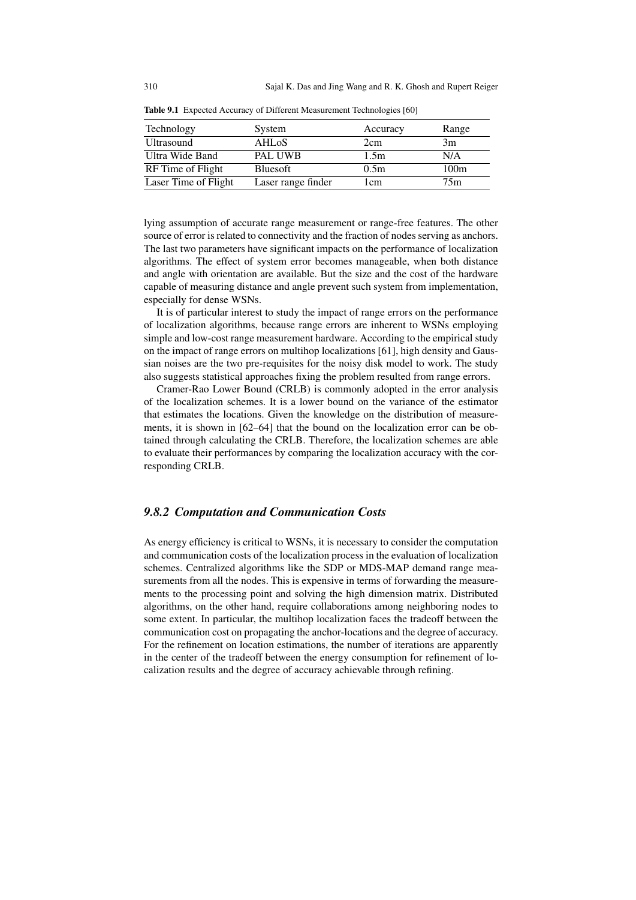| Technology           | System             | Accuracy | Range |
|----------------------|--------------------|----------|-------|
| <b>Ultrasound</b>    | <b>AHLOS</b>       | 2cm      | 3m    |
| Ultra Wide Band      | <b>PAL UWB</b>     | 1.5m     | N/A   |
| RF Time of Flight    | Bluesoft           | 0.5m     | 100m  |
| Laser Time of Flight | Laser range finder | 1cm      | 75m   |

Table 9.1 Expected Accuracy of Different Measurement Technologies [60]

lying assumption of accurate range measurement or range-free features. The other source of error is related to connectivity and the fraction of nodes serving as anchors. The last two parameters have significant impacts on the performance of localization algorithms. The effect of system error becomes manageable, when both distance and angle with orientation are available. But the size and the cost of the hardware capable of measuring distance and angle prevent such system from implementation, especially for dense WSNs.

It is of particular interest to study the impact of range errors on the performance of localization algorithms, because range errors are inherent to WSNs employing simple and low-cost range measurement hardware. According to the empirical study on the impact of range errors on multihop localizations [61], high density and Gaussian noises are the two pre-requisites for the noisy disk model to work. The study also suggests statistical approaches fixing the problem resulted from range errors.

Cramer-Rao Lower Bound (CRLB) is commonly adopted in the error analysis of the localization schemes. It is a lower bound on the variance of the estimator that estimates the locations. Given the knowledge on the distribution of measurements, it is shown in [62–64] that the bound on the localization error can be obtained through calculating the CRLB. Therefore, the localization schemes are able to evaluate their performances by comparing the localization accuracy with the corresponding CRLB.

# *9.8.2 Computation and Communication Costs*

As energy efficiency is critical to WSNs, it is necessary to consider the computation and communication costs of the localization process in the evaluation of localization schemes. Centralized algorithms like the SDP or MDS-MAP demand range measurements from all the nodes. This is expensive in terms of forwarding the measurements to the processing point and solving the high dimension matrix. Distributed algorithms, on the other hand, require collaborations among neighboring nodes to some extent. In particular, the multihop localization faces the tradeoff between the communication cost on propagating the anchor-locations and the degree of accuracy. For the refinement on location estimations, the number of iterations are apparently in the center of the tradeoff between the energy consumption for refinement of localization results and the degree of accuracy achievable through refining.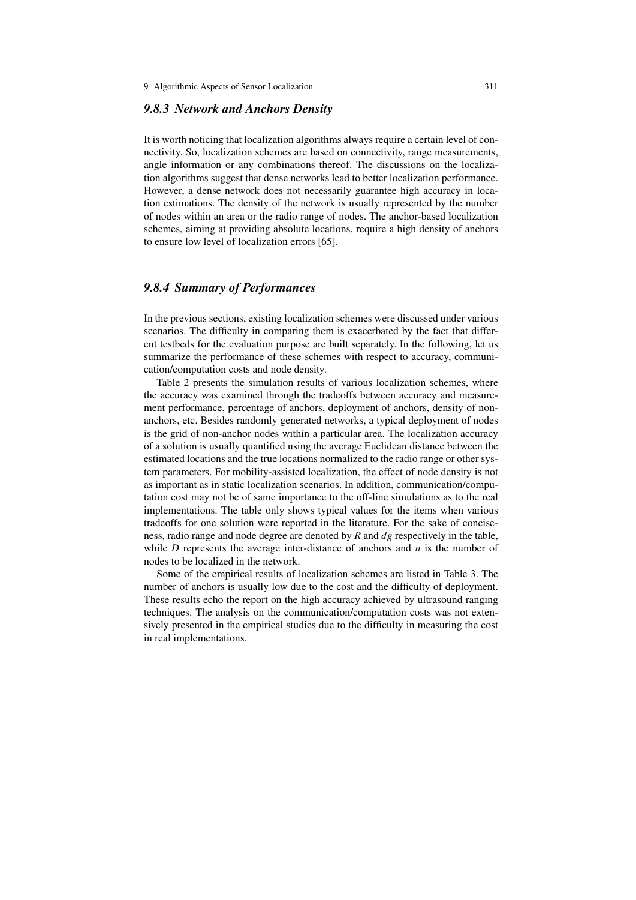#### *9.8.3 Network and Anchors Density*

It is worth noticing that localization algorithms always require a certain level of connectivity. So, localization schemes are based on connectivity, range measurements, angle information or any combinations thereof. The discussions on the localization algorithms suggest that dense networks lead to better localization performance. However, a dense network does not necessarily guarantee high accuracy in location estimations. The density of the network is usually represented by the number of nodes within an area or the radio range of nodes. The anchor-based localization schemes, aiming at providing absolute locations, require a high density of anchors to ensure low level of localization errors [65].

#### *9.8.4 Summary of Performances*

In the previous sections, existing localization schemes were discussed under various scenarios. The difficulty in comparing them is exacerbated by the fact that different testbeds for the evaluation purpose are built separately. In the following, let us summarize the performance of these schemes with respect to accuracy, communication/computation costs and node density.

Table 2 presents the simulation results of various localization schemes, where the accuracy was examined through the tradeoffs between accuracy and measurement performance, percentage of anchors, deployment of anchors, density of nonanchors, etc. Besides randomly generated networks, a typical deployment of nodes is the grid of non-anchor nodes within a particular area. The localization accuracy of a solution is usually quantified using the average Euclidean distance between the estimated locations and the true locations normalized to the radio range or other system parameters. For mobility-assisted localization, the effect of node density is not as important as in static localization scenarios. In addition, communication/computation cost may not be of same importance to the off-line simulations as to the real implementations. The table only shows typical values for the items when various tradeoffs for one solution were reported in the literature. For the sake of conciseness, radio range and node degree are denoted by *R* and *dg* respectively in the table, while *D* represents the average inter-distance of anchors and  $n$  is the number of nodes to be localized in the network.

Some of the empirical results of localization schemes are listed in Table 3. The number of anchors is usually low due to the cost and the difficulty of deployment. These results echo the report on the high accuracy achieved by ultrasound ranging techniques. The analysis on the communication/computation costs was not extensively presented in the empirical studies due to the difficulty in measuring the cost in real implementations.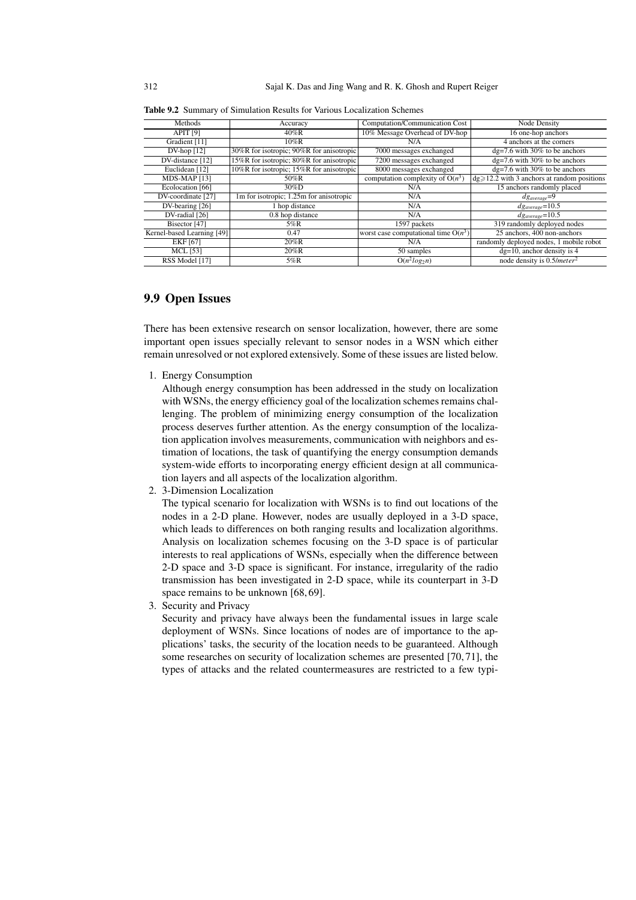| Methods                       | Accuracy                                 | Computation/Communication Cost         | <b>Node Density</b>                              |
|-------------------------------|------------------------------------------|----------------------------------------|--------------------------------------------------|
| <b>APIT [9]</b>               | $40\%$ R                                 | 10% Message Overhead of DV-hop         | 16 one-hop anchors                               |
| Gradient [11]                 | $10\%$ R                                 | N/A                                    | 4 anchors at the corners                         |
| $DV$ -hop $[12]$              | 30%R for isotropic; 90%R for anisotropic | 7000 messages exchanged                | $dg=7.6$ with 30% to be anchors                  |
| DV-distance [12]              | 15%R for isotropic; 80%R for anisotropic | 7200 messages exchanged                | $dg=7.6$ with 30% to be anchors                  |
| Euclidean [12]                | 10%R for isotropic; 15%R for anisotropic | 8000 messages exchanged                | $dg=7.6$ with 30% to be anchors                  |
| MDS-MAP [13]                  | 50%R                                     | computation complexity of $O(n^3)$     | $dg \ge 12.2$ with 3 anchors at random positions |
| Ecolocation [66]              | $30\%$ D                                 | N/A                                    | 15 anchors randomly placed                       |
| DV-coordinate [27]            | 1m for isotropic; 1.25m for anisotropic  | N/A                                    | $dg_{average} = 9$                               |
| $\overline{DV}$ -bearing [26] | 1 hop distance                           | N/A                                    | $dg_{average} = 10.5$                            |
| DV-radial [26]                | 0.8 hop distance                         | N/A                                    | $dg_{average} = 10.5$                            |
| Bisector [47]                 | 5%R                                      | 1597 packets                           | 319 randomly deployed nodes                      |
| Kernel-based Learning [49]    | 0.47                                     | worst case computational time $O(n^3)$ | 25 anchors, 400 non-anchors                      |
| <b>EKF [67]</b>               | $20\%$ R                                 | N/A                                    | randomly deployed nodes, 1 mobile robot          |
| <b>MCL</b> [53]               | $20\%$ R                                 | 50 samples                             | $dg=10$ , anchor density is 4                    |
| RSS Model [17]                | 5%R                                      | $\overline{O(n^2 log_2 n)}$            | node density is $0.5/meter^2$                    |

Table 9.2 Summary of Simulation Results for Various Localization Schemes

# 9.9 Open Issues

There has been extensive research on sensor localization, however, there are some important open issues specially relevant to sensor nodes in a WSN which either remain unresolved or not explored extensively. Some of these issues are listed below.

1. Energy Consumption

Although energy consumption has been addressed in the study on localization with WSNs, the energy efficiency goal of the localization schemes remains challenging. The problem of minimizing energy consumption of the localization process deserves further attention. As the energy consumption of the localization application involves measurements, communication with neighbors and estimation of locations, the task of quantifying the energy consumption demands system-wide efforts to incorporating energy efficient design at all communication layers and all aspects of the localization algorithm.

2. 3-Dimension Localization

The typical scenario for localization with WSNs is to find out locations of the nodes in a 2-D plane. However, nodes are usually deployed in a 3-D space, which leads to differences on both ranging results and localization algorithms. Analysis on localization schemes focusing on the 3-D space is of particular interests to real applications of WSNs, especially when the difference between 2-D space and 3-D space is significant. For instance, irregularity of the radio transmission has been investigated in 2-D space, while its counterpart in 3-D space remains to be unknown [68, 69].

3. Security and Privacy

Security and privacy have always been the fundamental issues in large scale deployment of WSNs. Since locations of nodes are of importance to the applications' tasks, the security of the location needs to be guaranteed. Although some researches on security of localization schemes are presented [70, 71], the types of attacks and the related countermeasures are restricted to a few typi-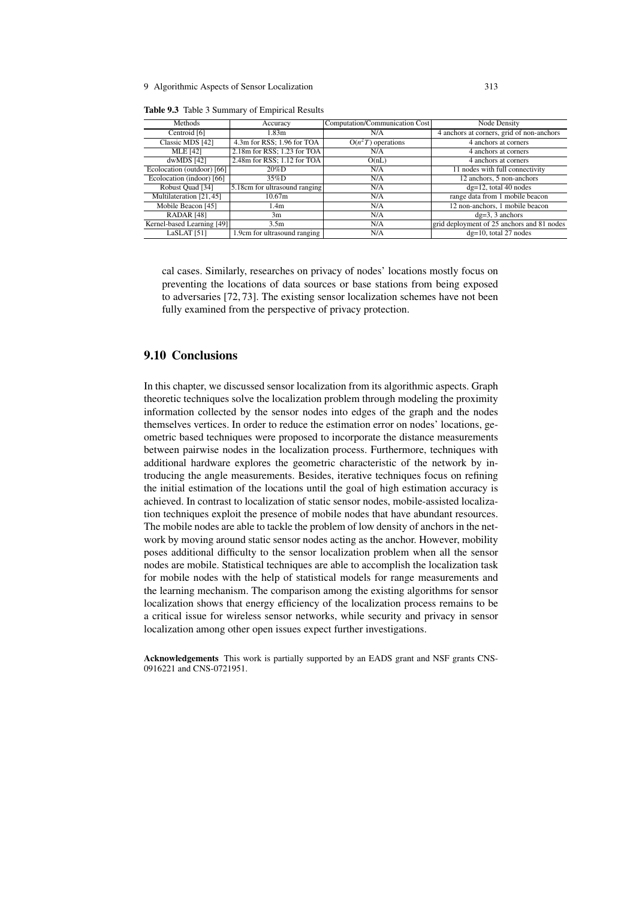| <b>Methods</b>               | Accuracy                      | Computation/Communication Cost | Node Density                               |
|------------------------------|-------------------------------|--------------------------------|--------------------------------------------|
| Centroid [6]                 | 1.83 <sub>m</sub>             | N/A                            | 4 anchors at corners, grid of non-anchors  |
| Classic MDS [42]             | 4.3m for RSS; 1.96 for TOA    | $O(n^2T)$ operations           | 4 anchors at corners                       |
| $\overline{\text{MLE}}$ [42] | 2.18m for RSS; 1.23 for TOA   | N/A                            | 4 anchors at corners                       |
| $d$ wMDS [42]                | 2.48m for RSS; 1.12 for TOA   | O(nL)                          | 4 anchors at corners                       |
| Ecolocation (outdoor) [66]   | $20\%$ D                      | N/A                            | 11 nodes with full connectivity            |
| Ecolocation (indoor) [66]    | 35%D                          | N/A                            | 12 anchors, 5 non-anchors                  |
| Robust Quad [34]             | 5.18cm for ultrasound ranging | N/A                            | $dg=12$ , total 40 nodes                   |
| Multilateration [21,45]      | 10.67m                        | N/A                            | range data from 1 mobile beacon            |
| Mobile Beacon [45]           | l.4m                          | N/A                            | 12 non-anchors, 1 mobile beacon            |
| <b>RADAR [48]</b>            | 3m                            | N/A                            | $dg=3$ , 3 anchors                         |
| Kernel-based Learning [49]   | 3.5 <sub>m</sub>              | N/A                            | grid deployment of 25 anchors and 81 nodes |
| LaSLAT [51]                  | 1.9cm for ultrasound ranging  | N/A                            | $de=10$ , total 27 nodes                   |

Table 9.3 Table 3 Summary of Empirical Results

cal cases. Similarly, researches on privacy of nodes' locations mostly focus on preventing the locations of data sources or base stations from being exposed to adversaries [72, 73]. The existing sensor localization schemes have not been fully examined from the perspective of privacy protection.

# 9.10 Conclusions

In this chapter, we discussed sensor localization from its algorithmic aspects. Graph theoretic techniques solve the localization problem through modeling the proximity information collected by the sensor nodes into edges of the graph and the nodes themselves vertices. In order to reduce the estimation error on nodes' locations, geometric based techniques were proposed to incorporate the distance measurements between pairwise nodes in the localization process. Furthermore, techniques with additional hardware explores the geometric characteristic of the network by introducing the angle measurements. Besides, iterative techniques focus on refining the initial estimation of the locations until the goal of high estimation accuracy is achieved. In contrast to localization of static sensor nodes, mobile-assisted localization techniques exploit the presence of mobile nodes that have abundant resources. The mobile nodes are able to tackle the problem of low density of anchors in the network by moving around static sensor nodes acting as the anchor. However, mobility poses additional difficulty to the sensor localization problem when all the sensor nodes are mobile. Statistical techniques are able to accomplish the localization task for mobile nodes with the help of statistical models for range measurements and the learning mechanism. The comparison among the existing algorithms for sensor localization shows that energy efficiency of the localization process remains to be a critical issue for wireless sensor networks, while security and privacy in sensor localization among other open issues expect further investigations.

Acknowledgements This work is partially supported by an EADS grant and NSF grants CNS-0916221 and CNS-0721951.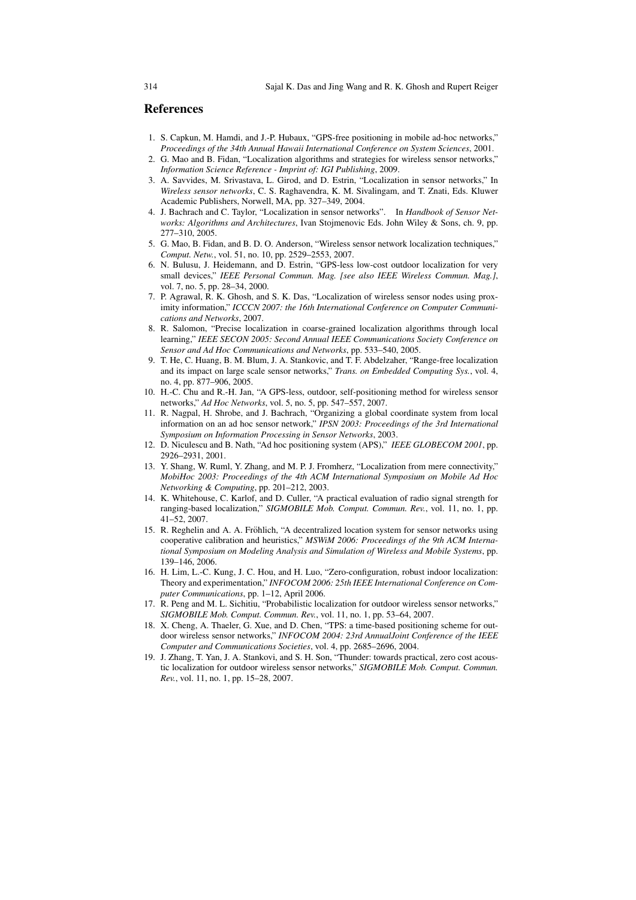#### References

- 1. S. Capkun, M. Hamdi, and J.-P. Hubaux, "GPS-free positioning in mobile ad-hoc networks," *Proceedings of the 34th Annual Hawaii International Conference on System Sciences*, 2001.
- 2. G. Mao and B. Fidan, "Localization algorithms and strategies for wireless sensor networks," *Information Science Reference - Imprint of: IGI Publishing*, 2009.
- 3. A. Savvides, M. Srivastava, L. Girod, and D. Estrin, "Localization in sensor networks," In *Wireless sensor networks*, C. S. Raghavendra, K. M. Sivalingam, and T. Znati, Eds. Kluwer Academic Publishers, Norwell, MA, pp. 327–349, 2004.
- 4. J. Bachrach and C. Taylor, "Localization in sensor networks". In *Handbook of Sensor Networks: Algorithms and Architectures*, Ivan Stojmenovic Eds. John Wiley & Sons, ch. 9, pp. 277–310, 2005.
- 5. G. Mao, B. Fidan, and B. D. O. Anderson, "Wireless sensor network localization techniques," *Comput. Netw.*, vol. 51, no. 10, pp. 2529–2553, 2007.
- 6. N. Bulusu, J. Heidemann, and D. Estrin, "GPS-less low-cost outdoor localization for very small devices," *IEEE Personal Commun. Mag. [see also IEEE Wireless Commun. Mag.]*, vol. 7, no. 5, pp. 28–34, 2000.
- 7. P. Agrawal, R. K. Ghosh, and S. K. Das, "Localization of wireless sensor nodes using proximity information," *ICCCN 2007: the 16th International Conference on Computer Communications and Networks*, 2007.
- 8. R. Salomon, "Precise localization in coarse-grained localization algorithms through local learning," *IEEE SECON 2005: Second Annual IEEE Communications Society Conference on Sensor and Ad Hoc Communications and Networks*, pp. 533–540, 2005.
- 9. T. He, C. Huang, B. M. Blum, J. A. Stankovic, and T. F. Abdelzaher, "Range-free localization and its impact on large scale sensor networks," *Trans. on Embedded Computing Sys.*, vol. 4, no. 4, pp. 877–906, 2005.
- 10. H.-C. Chu and R.-H. Jan, "A GPS-less, outdoor, self-positioning method for wireless sensor networks," *Ad Hoc Networks*, vol. 5, no. 5, pp. 547–557, 2007.
- 11. R. Nagpal, H. Shrobe, and J. Bachrach, "Organizing a global coordinate system from local information on an ad hoc sensor network," *IPSN 2003: Proceedings of the 3rd International Symposium on Information Processing in Sensor Networks*, 2003.
- 12. D. Niculescu and B. Nath, "Ad hoc positioning system (APS)," *IEEE GLOBECOM 2001*, pp. 2926–2931, 2001.
- 13. Y. Shang, W. Ruml, Y. Zhang, and M. P. J. Fromherz, "Localization from mere connectivity," *MobiHoc 2003: Proceedings of the 4th ACM International Symposium on Mobile Ad Hoc Networking & Computing*, pp. 201–212, 2003.
- 14. K. Whitehouse, C. Karlof, and D. Culler, "A practical evaluation of radio signal strength for ranging-based localization," *SIGMOBILE Mob. Comput. Commun. Rev.*, vol. 11, no. 1, pp. 41–52, 2007.
- 15. R. Reghelin and A. A. Fröhlich, "A decentralized location system for sensor networks using cooperative calibration and heuristics," *MSWiM 2006: Proceedings of the 9th ACM International Symposium on Modeling Analysis and Simulation of Wireless and Mobile Systems*, pp. 139–146, 2006.
- 16. H. Lim, L.-C. Kung, J. C. Hou, and H. Luo, "Zero-configuration, robust indoor localization: Theory and experimentation," *INFOCOM 2006: 25th IEEE International Conference on Computer Communications*, pp. 1–12, April 2006.
- 17. R. Peng and M. L. Sichitiu, "Probabilistic localization for outdoor wireless sensor networks," *SIGMOBILE Mob. Comput. Commun. Rev.*, vol. 11, no. 1, pp. 53–64, 2007.
- 18. X. Cheng, A. Thaeler, G. Xue, and D. Chen, "TPS: a time-based positioning scheme for outdoor wireless sensor networks," *INFOCOM 2004: 23rd AnnualJoint Conference of the IEEE Computer and Communications Societies*, vol. 4, pp. 2685–2696, 2004.
- 19. J. Zhang, T. Yan, J. A. Stankovi, and S. H. Son, "Thunder: towards practical, zero cost acoustic localization for outdoor wireless sensor networks," *SIGMOBILE Mob. Comput. Commun. Rev.*, vol. 11, no. 1, pp. 15–28, 2007.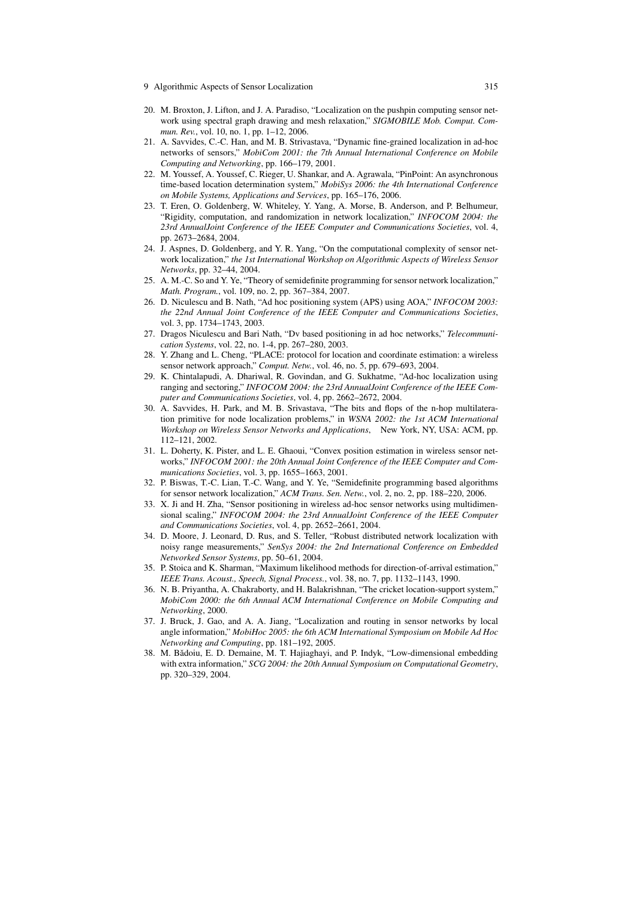- 20. M. Broxton, J. Lifton, and J. A. Paradiso, "Localization on the pushpin computing sensor network using spectral graph drawing and mesh relaxation," *SIGMOBILE Mob. Comput. Commun. Rev.*, vol. 10, no. 1, pp. 1–12, 2006.
- 21. A. Savvides, C.-C. Han, and M. B. Strivastava, "Dynamic fine-grained localization in ad-hoc networks of sensors," *MobiCom 2001: the 7th Annual International Conference on Mobile Computing and Networking*, pp. 166–179, 2001.
- 22. M. Youssef, A. Youssef, C. Rieger, U. Shankar, and A. Agrawala, "PinPoint: An asynchronous time-based location determination system," *MobiSys 2006: the 4th International Conference on Mobile Systems, Applications and Services*, pp. 165–176, 2006.
- 23. T. Eren, O. Goldenberg, W. Whiteley, Y. Yang, A. Morse, B. Anderson, and P. Belhumeur, "Rigidity, computation, and randomization in network localization," *INFOCOM 2004: the 23rd AnnualJoint Conference of the IEEE Computer and Communications Societies*, vol. 4, pp. 2673–2684, 2004.
- 24. J. Aspnes, D. Goldenberg, and Y. R. Yang, "On the computational complexity of sensor network localization," *the 1st International Workshop on Algorithmic Aspects of Wireless Sensor Networks*, pp. 32–44, 2004.
- 25. A. M.-C. So and Y. Ye, "Theory of semidefinite programming for sensor network localization," *Math. Program.*, vol. 109, no. 2, pp. 367–384, 2007.
- 26. D. Niculescu and B. Nath, "Ad hoc positioning system (APS) using AOA," *INFOCOM 2003: the 22nd Annual Joint Conference of the IEEE Computer and Communications Societies*, vol. 3, pp. 1734–1743, 2003.
- 27. Dragos Niculescu and Bari Nath, "Dv based positioning in ad hoc networks," *Telecommunication Systems*, vol. 22, no. 1-4, pp. 267–280, 2003.
- 28. Y. Zhang and L. Cheng, "PLACE: protocol for location and coordinate estimation: a wireless sensor network approach," *Comput. Netw.*, vol. 46, no. 5, pp. 679–693, 2004.
- 29. K. Chintalapudi, A. Dhariwal, R. Govindan, and G. Sukhatme, "Ad-hoc localization using ranging and sectoring," *INFOCOM 2004: the 23rd AnnualJoint Conference of the IEEE Computer and Communications Societies*, vol. 4, pp. 2662–2672, 2004.
- 30. A. Savvides, H. Park, and M. B. Srivastava, "The bits and flops of the n-hop multilateration primitive for node localization problems," in *WSNA 2002: the 1st ACM International Workshop on Wireless Sensor Networks and Applications*, New York, NY, USA: ACM, pp. 112–121, 2002.
- 31. L. Doherty, K. Pister, and L. E. Ghaoui, "Convex position estimation in wireless sensor networks," *INFOCOM 2001: the 20th Annual Joint Conference of the IEEE Computer and Communications Societies*, vol. 3, pp. 1655–1663, 2001.
- 32. P. Biswas, T.-C. Lian, T.-C. Wang, and Y. Ye, "Semidefinite programming based algorithms for sensor network localization," *ACM Trans. Sen. Netw.*, vol. 2, no. 2, pp. 188–220, 2006.
- 33. X. Ji and H. Zha, "Sensor positioning in wireless ad-hoc sensor networks using multidimensional scaling," *INFOCOM 2004: the 23rd AnnualJoint Conference of the IEEE Computer and Communications Societies*, vol. 4, pp. 2652–2661, 2004.
- 34. D. Moore, J. Leonard, D. Rus, and S. Teller, "Robust distributed network localization with noisy range measurements," *SenSys 2004: the 2nd International Conference on Embedded Networked Sensor Systems*, pp. 50–61, 2004.
- 35. P. Stoica and K. Sharman, "Maximum likelihood methods for direction-of-arrival estimation," *IEEE Trans. Acoust., Speech, Signal Process.*, vol. 38, no. 7, pp. 1132–1143, 1990.
- 36. N. B. Priyantha, A. Chakraborty, and H. Balakrishnan, "The cricket location-support system," *MobiCom 2000: the 6th Annual ACM International Conference on Mobile Computing and Networking*, 2000.
- 37. J. Bruck, J. Gao, and A. A. Jiang, "Localization and routing in sensor networks by local angle information," *MobiHoc 2005: the 6th ACM International Symposium on Mobile Ad Hoc Networking and Computing*, pp. 181–192, 2005.
- 38. M. Bǎdoiu, E. D. Demaine, M. T. Hajiaghayi, and P. Indyk, "Low-dimensional embedding with extra information," *SCG 2004: the 20th Annual Symposium on Computational Geometry*, pp. 320–329, 2004.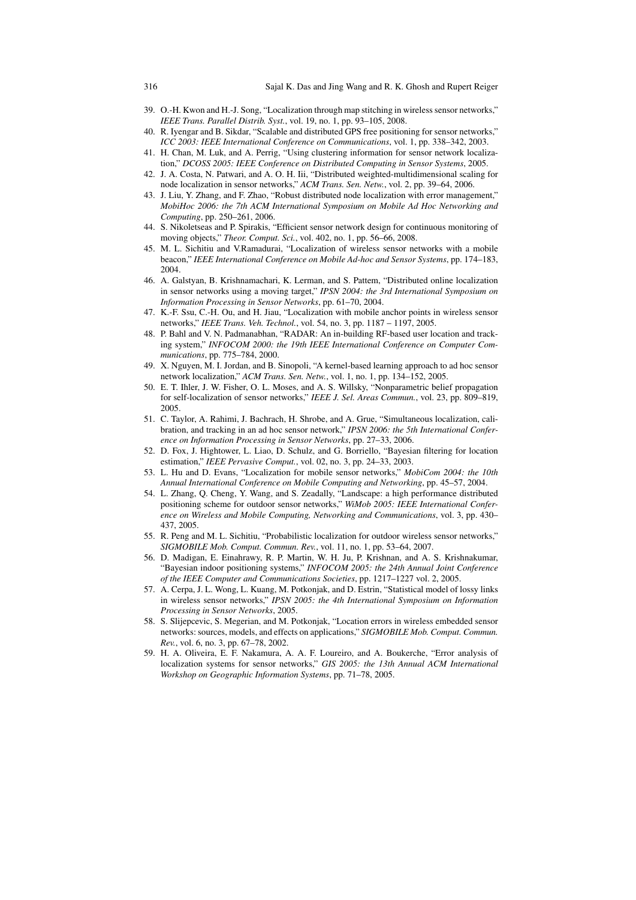- 39. O.-H. Kwon and H.-J. Song, "Localization through map stitching in wireless sensor networks," *IEEE Trans. Parallel Distrib. Syst.*, vol. 19, no. 1, pp. 93–105, 2008.
- 40. R. Iyengar and B. Sikdar, "Scalable and distributed GPS free positioning for sensor networks," *ICC 2003: IEEE International Conference on Communications*, vol. 1, pp. 338–342, 2003.
- 41. H. Chan, M. Luk, and A. Perrig, "Using clustering information for sensor network localization," *DCOSS 2005: IEEE Conference on Distributed Computing in Sensor Systems*, 2005.
- 42. J. A. Costa, N. Patwari, and A. O. H. Iii, "Distributed weighted-multidimensional scaling for node localization in sensor networks," *ACM Trans. Sen. Netw.*, vol. 2, pp. 39–64, 2006.
- 43. J. Liu, Y. Zhang, and F. Zhao, "Robust distributed node localization with error management," *MobiHoc 2006: the 7th ACM International Symposium on Mobile Ad Hoc Networking and Computing*, pp. 250–261, 2006.
- 44. S. Nikoletseas and P. Spirakis, "Efficient sensor network design for continuous monitoring of moving objects," *Theor. Comput. Sci.*, vol. 402, no. 1, pp. 56–66, 2008.
- 45. M. L. Sichitiu and V.Ramadurai, "Localization of wireless sensor networks with a mobile beacon," *IEEE International Conference on Mobile Ad-hoc and Sensor Systems*, pp. 174–183, 2004.
- 46. A. Galstyan, B. Krishnamachari, K. Lerman, and S. Pattem, "Distributed online localization in sensor networks using a moving target," *IPSN 2004: the 3rd International Symposium on Information Processing in Sensor Networks*, pp. 61–70, 2004.
- 47. K.-F. Ssu, C.-H. Ou, and H. Jiau, "Localization with mobile anchor points in wireless sensor networks," *IEEE Trans. Veh. Technol.*, vol. 54, no. 3, pp. 1187 – 1197, 2005.
- 48. P. Bahl and V. N. Padmanabhan, "RADAR: An in-building RF-based user location and tracking system," *INFOCOM 2000: the 19th IEEE International Conference on Computer Communications*, pp. 775–784, 2000.
- 49. X. Nguyen, M. I. Jordan, and B. Sinopoli, "A kernel-based learning approach to ad hoc sensor network localization," *ACM Trans. Sen. Netw.*, vol. 1, no. 1, pp. 134–152, 2005.
- 50. E. T. Ihler, J. W. Fisher, O. L. Moses, and A. S. Willsky, "Nonparametric belief propagation for self-localization of sensor networks," *IEEE J. Sel. Areas Commun.*, vol. 23, pp. 809–819, 2005.
- 51. C. Taylor, A. Rahimi, J. Bachrach, H. Shrobe, and A. Grue, "Simultaneous localization, calibration, and tracking in an ad hoc sensor network," *IPSN 2006: the 5th International Conference on Information Processing in Sensor Networks*, pp. 27–33, 2006.
- 52. D. Fox, J. Hightower, L. Liao, D. Schulz, and G. Borriello, "Bayesian filtering for location estimation," *IEEE Pervasive Comput.*, vol. 02, no. 3, pp. 24–33, 2003.
- 53. L. Hu and D. Evans, "Localization for mobile sensor networks," *MobiCom 2004: the 10th Annual International Conference on Mobile Computing and Networking*, pp. 45–57, 2004.
- 54. L. Zhang, Q. Cheng, Y. Wang, and S. Zeadally, "Landscape: a high performance distributed positioning scheme for outdoor sensor networks," *WiMob 2005: IEEE International Conference on Wireless and Mobile Computing, Networking and Communications*, vol. 3, pp. 430– 437, 2005.
- 55. R. Peng and M. L. Sichitiu, "Probabilistic localization for outdoor wireless sensor networks," *SIGMOBILE Mob. Comput. Commun. Rev.*, vol. 11, no. 1, pp. 53–64, 2007.
- 56. D. Madigan, E. Einahrawy, R. P. Martin, W. H. Ju, P. Krishnan, and A. S. Krishnakumar, "Bayesian indoor positioning systems," *INFOCOM 2005: the 24th Annual Joint Conference of the IEEE Computer and Communications Societies*, pp. 1217–1227 vol. 2, 2005.
- 57. A. Cerpa, J. L. Wong, L. Kuang, M. Potkonjak, and D. Estrin, "Statistical model of lossy links in wireless sensor networks," *IPSN 2005: the 4th International Symposium on Information Processing in Sensor Networks*, 2005.
- 58. S. Slijepcevic, S. Megerian, and M. Potkonjak, "Location errors in wireless embedded sensor networks: sources, models, and effects on applications," *SIGMOBILE Mob. Comput. Commun. Rev.*, vol. 6, no. 3, pp. 67–78, 2002.
- 59. H. A. Oliveira, E. F. Nakamura, A. A. F. Loureiro, and A. Boukerche, "Error analysis of localization systems for sensor networks," *GIS 2005: the 13th Annual ACM International Workshop on Geographic Information Systems*, pp. 71–78, 2005.